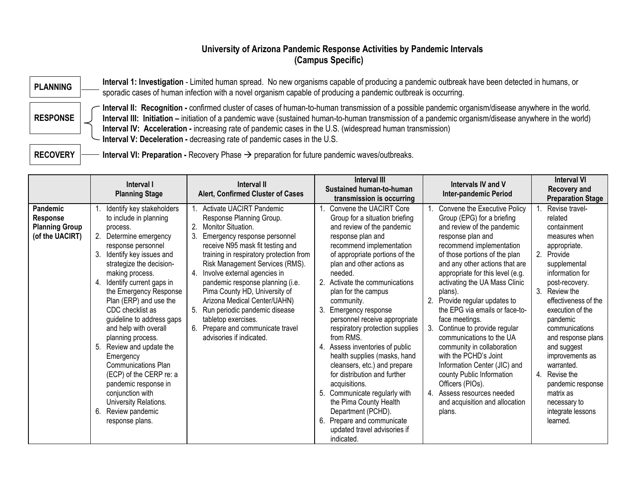#### **University of Arizona Pandemic Response Activities by Pandemic Intervals (Campus Specific)**

**PLANNING** Interval 1: Investigation - Limited human spread. No new organisms capable of producing a pandemic outbreak have been detected in humans, or sporadic cases of human infection with a novel organism capable of producing a pandemic outbreak is occurring.

**RESPONSE**

**Interval II: Recognition -** confirmed cluster of cases of human-to-human transmission of a possible pandemic organism/disease anywhere in the world. **Interval III: Initiation –** initiation of a pandemic wave (sustained human-to-human transmission of a pandemic organism/disease anywhere in the world) **Interval IV: Acceleration -** increasing rate of pandemic cases in the U.S. (widespread human transmission) **Interval V: Deceleration -** decreasing rate of pandemic cases in the U.S.

**RECOVERY I** Interval VI: Preparation - Recovery Phase  $\rightarrow$  preparation for future pandemic waves/outbreaks.

|                                                                         | Interval I<br><b>Planning Stage</b>                                                                                                                                                                                                                                                                                                                                                                                                                                                                                                                                                            | <b>Interval II</b><br>Alert, Confirmed Cluster of Cases                                                                                                                                                                                                                                                                                                                                                                                                                                                         | <b>Interval III</b><br>Sustained human-to-human<br>transmission is occurring                                                                                                                                                                                                                                                                                                                                                                                                                                                                                                                                                                                                                                         | Intervals IV and V<br><b>Inter-pandemic Period</b>                                                                                                                                                                                                                                                                                                                                                                                                                                                                                                                                                                                                          | <b>Interval VI</b><br>Recovery and<br><b>Preparation Stage</b>                                                                                                                                                                                                                                                                                                                                                    |
|-------------------------------------------------------------------------|------------------------------------------------------------------------------------------------------------------------------------------------------------------------------------------------------------------------------------------------------------------------------------------------------------------------------------------------------------------------------------------------------------------------------------------------------------------------------------------------------------------------------------------------------------------------------------------------|-----------------------------------------------------------------------------------------------------------------------------------------------------------------------------------------------------------------------------------------------------------------------------------------------------------------------------------------------------------------------------------------------------------------------------------------------------------------------------------------------------------------|----------------------------------------------------------------------------------------------------------------------------------------------------------------------------------------------------------------------------------------------------------------------------------------------------------------------------------------------------------------------------------------------------------------------------------------------------------------------------------------------------------------------------------------------------------------------------------------------------------------------------------------------------------------------------------------------------------------------|-------------------------------------------------------------------------------------------------------------------------------------------------------------------------------------------------------------------------------------------------------------------------------------------------------------------------------------------------------------------------------------------------------------------------------------------------------------------------------------------------------------------------------------------------------------------------------------------------------------------------------------------------------------|-------------------------------------------------------------------------------------------------------------------------------------------------------------------------------------------------------------------------------------------------------------------------------------------------------------------------------------------------------------------------------------------------------------------|
| Pandemic<br><b>Response</b><br><b>Planning Group</b><br>(of the UACIRT) | Identify key stakeholders<br>to include in planning<br>process.<br>2. Determine emergency<br>response personnel<br>Identify key issues and<br>3.<br>strategize the decision-<br>making process.<br>Identify current gaps in<br>the Emergency Response<br>Plan (ERP) and use the<br>CDC checklist as<br>guideline to address gaps<br>and help with overall<br>planning process.<br>5. Review and update the<br>Emergency<br><b>Communications Plan</b><br>(ECP) of the CERP re: a<br>pandemic response in<br>conjunction with<br>University Relations.<br>6. Review pandemic<br>response plans. | Activate UACIRT Pandemic<br>Response Planning Group.<br>Monitor Situation.<br>3.<br>Emergency response personnel<br>receive N95 mask fit testing and<br>training in respiratory protection from<br>Risk Management Services (RMS).<br>Involve external agencies in<br>4.<br>pandemic response planning (i.e.<br>Pima County HD, University of<br>Arizona Medical Center/UAHN)<br>Run periodic pandemic disease<br>5.<br>tabletop exercises.<br>Prepare and communicate travel<br>6.<br>advisories if indicated. | Convene the UACIRT Core<br>Group for a situation briefing<br>and review of the pandemic<br>response plan and<br>recommend implementation<br>of appropriate portions of the<br>plan and other actions as<br>needed.<br>2. Activate the communications<br>plan for the campus<br>community.<br>3. Emergency response<br>personnel receive appropriate<br>respiratory protection supplies<br>from RMS.<br>4. Assess inventories of public<br>health supplies (masks, hand<br>cleansers, etc.) and prepare<br>for distribution and further<br>acquisitions.<br>5. Communicate regularly with<br>the Pima County Health<br>Department (PCHD).<br>6. Prepare and communicate<br>updated travel advisories if<br>indicated. | Convene the Executive Policy<br>Group (EPG) for a briefing<br>and review of the pandemic<br>response plan and<br>recommend implementation<br>of those portions of the plan<br>and any other actions that are<br>appropriate for this level (e.g.<br>activating the UA Mass Clinic<br>plans).<br>Provide regular updates to<br>the EPG via emails or face-to-<br>face meetings.<br>Continue to provide regular<br>communications to the UA<br>community in collaboration<br>with the PCHD's Joint<br>Information Center (JIC) and<br>county Public Information<br>Officers (PIOs).<br>4. Assess resources needed<br>and acquisition and allocation<br>plans. | Revise travel-<br>related<br>containment<br>measures when<br>appropriate.<br>2. Provide<br>supplemental<br>information for<br>post-recovery.<br>3. Review the<br>effectiveness of the<br>execution of the<br>pandemic<br>communications<br>and response plans<br>and suggest<br>improvements as<br>warranted.<br>4. Revise the<br>pandemic response<br>matrix as<br>necessary to<br>integrate lessons<br>learned. |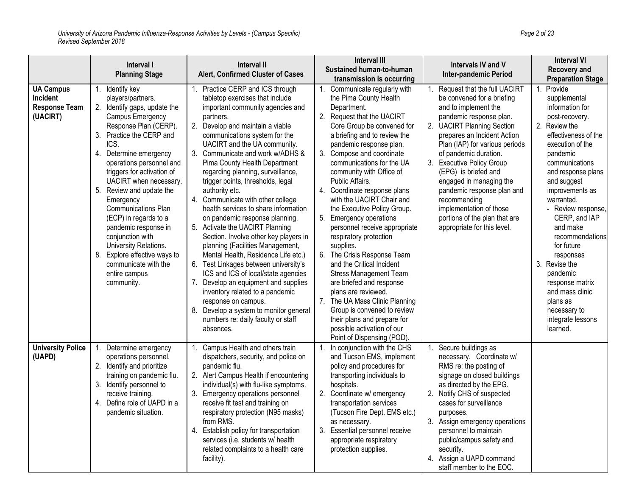|                                                                         | Interval I<br><b>Planning Stage</b>                                                                                                                                                                                                                                                                                                                                                                                                                                                                                             | <b>Interval II</b><br>Alert, Confirmed Cluster of Cases                                                                                                                                                                                                                                                                                                                                                                                                                                                                                                                                                                                                                                                                                                                                                                                                                                                                                               | <b>Interval III</b><br>Sustained human-to-human<br>transmission is occurring                                                                                                                                                                                                                                                                                                                                                                                                                                                                                                                                                                                                                                                                                                                                     | Intervals IV and V<br><b>Inter-pandemic Period</b>                                                                                                                                                                                                                                                                                                                                                                                                             | <b>Interval VI</b><br>Recovery and<br><b>Preparation Stage</b>                                                                                                                                                                                                                                                                                                                                                                                                       |
|-------------------------------------------------------------------------|---------------------------------------------------------------------------------------------------------------------------------------------------------------------------------------------------------------------------------------------------------------------------------------------------------------------------------------------------------------------------------------------------------------------------------------------------------------------------------------------------------------------------------|-------------------------------------------------------------------------------------------------------------------------------------------------------------------------------------------------------------------------------------------------------------------------------------------------------------------------------------------------------------------------------------------------------------------------------------------------------------------------------------------------------------------------------------------------------------------------------------------------------------------------------------------------------------------------------------------------------------------------------------------------------------------------------------------------------------------------------------------------------------------------------------------------------------------------------------------------------|------------------------------------------------------------------------------------------------------------------------------------------------------------------------------------------------------------------------------------------------------------------------------------------------------------------------------------------------------------------------------------------------------------------------------------------------------------------------------------------------------------------------------------------------------------------------------------------------------------------------------------------------------------------------------------------------------------------------------------------------------------------------------------------------------------------|----------------------------------------------------------------------------------------------------------------------------------------------------------------------------------------------------------------------------------------------------------------------------------------------------------------------------------------------------------------------------------------------------------------------------------------------------------------|----------------------------------------------------------------------------------------------------------------------------------------------------------------------------------------------------------------------------------------------------------------------------------------------------------------------------------------------------------------------------------------------------------------------------------------------------------------------|
| <b>UA Campus</b><br><b>Incident</b><br><b>Response Team</b><br>(UACIRT) | 1. Identify key<br>players/partners.<br>2. Identify gaps, update the<br>Campus Emergency<br>Response Plan (CERP).<br>3. Practice the CERP and<br>ICS.<br>4. Determine emergency<br>operations personnel and<br>triggers for activation of<br>UACIRT when necessary.<br>5. Review and update the<br>Emergency<br><b>Communications Plan</b><br>(ECP) in regards to a<br>pandemic response in<br>conjunction with<br>University Relations.<br>8. Explore effective ways to<br>communicate with the<br>entire campus<br>community. | Practice CERP and ICS through<br>tabletop exercises that include<br>important community agencies and<br>partners.<br>2. Develop and maintain a viable<br>communications system for the<br>UACIRT and the UA community.<br>3. Communicate and work w/ADHS &<br>Pima County Health Department<br>regarding planning, surveillance,<br>trigger points, thresholds, legal<br>authority etc.<br>4. Communicate with other college<br>health services to share information<br>on pandemic response planning.<br>Activate the UACIRT Planning<br>5.<br>Section. Involve other key players in<br>planning (Facilities Management,<br>Mental Health, Residence Life etc.)<br>6. Test Linkages between university's<br>ICS and ICS of local/state agencies<br>Develop an equipment and supplies<br>7.<br>inventory related to a pandemic<br>response on campus.<br>Develop a system to monitor general<br>8.<br>numbers re: daily faculty or staff<br>absences. | 1. Communicate regularly with<br>the Pima County Health<br>Department.<br>2. Request that the UACIRT<br>Core Group be convened for<br>a briefing and to review the<br>pandemic response plan.<br>3. Compose and coordinate<br>communications for the UA<br>community with Office of<br>Public Affairs.<br>4. Coordinate response plans<br>with the UACIRT Chair and<br>the Executive Policy Group.<br>5. Emergency operations<br>personnel receive appropriate<br>respiratory protection<br>supplies.<br>6. The Crisis Response Team<br>and the Critical Incident<br><b>Stress Management Team</b><br>are briefed and response<br>plans are reviewed.<br>7. The UA Mass Clinic Planning<br>Group is convened to review<br>their plans and prepare for<br>possible activation of our<br>Point of Dispensing (POD) | Request that the full UACIRT<br>be convened for a briefing<br>and to implement the<br>pandemic response plan.<br>2. UACIRT Planning Section<br>prepares an Incident Action<br>Plan (IAP) for various periods<br>of pandemic duration.<br>3. Executive Policy Group<br>(EPG) is briefed and<br>engaged in managing the<br>pandemic response plan and<br>recommending<br>implementation of those<br>portions of the plan that are<br>appropriate for this level. | Provide<br>1.<br>supplemental<br>information for<br>post-recovery.<br>2. Review the<br>effectiveness of the<br>execution of the<br>pandemic<br>communications<br>and response plans<br>and suggest<br>improvements as<br>warranted.<br>- Review response,<br>CERP, and IAP<br>and make<br>recommendations<br>for future<br>responses<br>3. Revise the<br>pandemic<br>response matrix<br>and mass clinic<br>plans as<br>necessary to<br>integrate lessons<br>learned. |
| <b>University Police</b><br>(UAPD)                                      | 1. Determine emergency<br>operations personnel.<br>2. Identify and prioritize<br>training on pandemic flu.<br>Identify personnel to<br>3.<br>receive training.<br>4. Define role of UAPD in a<br>pandemic situation.                                                                                                                                                                                                                                                                                                            | Campus Health and others train<br>$\mathbf{1}$ .<br>dispatchers, security, and police on<br>pandemic flu.<br>2. Alert Campus Health if encountering<br>individual(s) with flu-like symptoms.<br>3.<br>Emergency operations personnel<br>receive fit test and training on<br>respiratory protection (N95 masks)<br>from RMS.<br>4. Establish policy for transportation<br>services (i.e. students w/ health<br>related complaints to a health care<br>facility).                                                                                                                                                                                                                                                                                                                                                                                                                                                                                       | In conjunction with the CHS<br>$1_{\cdot}$<br>and Tucson EMS, implement<br>policy and procedures for<br>transporting individuals to<br>hospitals.<br>2. Coordinate w/ emergency<br>transportation services<br>(Tucson Fire Dept. EMS etc.)<br>as necessary.<br>3. Essential personnel receive<br>appropriate respiratory<br>protection supplies.                                                                                                                                                                                                                                                                                                                                                                                                                                                                 | Secure buildings as<br>1.<br>necessary. Coordinate w/<br>RMS re: the posting of<br>signage on closed buildings<br>as directed by the EPG.<br>2. Notify CHS of suspected<br>cases for surveillance<br>purposes.<br>3. Assign emergency operations<br>personnel to maintain<br>public/campus safety and<br>security.<br>4. Assign a UAPD command<br>staff member to the EOC.                                                                                     |                                                                                                                                                                                                                                                                                                                                                                                                                                                                      |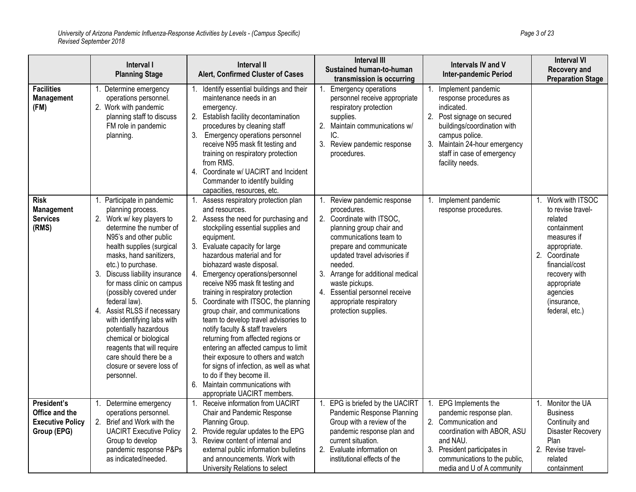|                                                                         | Interval I<br><b>Planning Stage</b>                                                                                                                                                                                                                                                                                                                                                                                                                                                                                                           | <b>Interval II</b><br>Alert, Confirmed Cluster of Cases                                                                                                                                                                                                                                                                                                                                                                                                                                                                                                                                                                                                                                                                                                                                    | <b>Interval III</b><br>Sustained human-to-human<br>transmission is occurring                                                                                                                                                                                                                                                                 | Intervals IV and V<br><b>Inter-pandemic Period</b>                                                                                                                                                                          | <b>Interval VI</b><br><b>Recovery and</b><br><b>Preparation Stage</b>                                                                                                                                                        |
|-------------------------------------------------------------------------|-----------------------------------------------------------------------------------------------------------------------------------------------------------------------------------------------------------------------------------------------------------------------------------------------------------------------------------------------------------------------------------------------------------------------------------------------------------------------------------------------------------------------------------------------|--------------------------------------------------------------------------------------------------------------------------------------------------------------------------------------------------------------------------------------------------------------------------------------------------------------------------------------------------------------------------------------------------------------------------------------------------------------------------------------------------------------------------------------------------------------------------------------------------------------------------------------------------------------------------------------------------------------------------------------------------------------------------------------------|----------------------------------------------------------------------------------------------------------------------------------------------------------------------------------------------------------------------------------------------------------------------------------------------------------------------------------------------|-----------------------------------------------------------------------------------------------------------------------------------------------------------------------------------------------------------------------------|------------------------------------------------------------------------------------------------------------------------------------------------------------------------------------------------------------------------------|
| <b>Facilities</b><br><b>Management</b><br>(FM)                          | 1. Determine emergency<br>operations personnel.<br>2. Work with pandemic<br>planning staff to discuss<br>FM role in pandemic<br>planning.                                                                                                                                                                                                                                                                                                                                                                                                     | Identify essential buildings and their<br>maintenance needs in an<br>emergency.<br>2. Establish facility decontamination<br>procedures by cleaning staff<br>3.<br>Emergency operations personnel<br>receive N95 mask fit testing and<br>training on respiratory protection<br>from RMS.<br>Coordinate w/ UACIRT and Incident<br>4.<br>Commander to identify building<br>capacities, resources, etc.                                                                                                                                                                                                                                                                                                                                                                                        | <b>Emergency operations</b><br>personnel receive appropriate<br>respiratory protection<br>supplies.<br>2. Maintain communications w/<br>IC.<br>3. Review pandemic response<br>procedures.                                                                                                                                                    | Implement pandemic<br>response procedures as<br>indicated.<br>2. Post signage on secured<br>buildings/coordination with<br>campus police.<br>3. Maintain 24-hour emergency<br>staff in case of emergency<br>facility needs. |                                                                                                                                                                                                                              |
| <b>Risk</b><br><b>Management</b><br><b>Services</b><br>(RMS)            | 1. Participate in pandemic<br>planning process.<br>2. Work w/ key players to<br>determine the number of<br>N95's and other public<br>health supplies (surgical<br>masks, hand sanitizers,<br>etc.) to purchase.<br>3. Discuss liability insurance<br>for mass clinic on campus<br>(possibly covered under<br>federal law).<br>4. Assist RLSS if necessary<br>with identifying labs with<br>potentially hazardous<br>chemical or biological<br>reagents that will require<br>care should there be a<br>closure or severe loss of<br>personnel. | Assess respiratory protection plan<br>and resources.<br>2. Assess the need for purchasing and<br>stockpiling essential supplies and<br>equipment.<br>3.<br>Evaluate capacity for large<br>hazardous material and for<br>biohazard waste disposal.<br>Emergency operations/personnel<br>4.<br>receive N95 mask fit testing and<br>training in respiratory protection<br>Coordinate with ITSOC, the planning<br>group chair, and communications<br>team to develop travel advisories to<br>notify faculty & staff travelers<br>returning from affected regions or<br>entering an affected campus to limit<br>their exposure to others and watch<br>for signs of infection, as well as what<br>to do if they become ill.<br>Maintain communications with<br>6.<br>appropriate UACIRT members. | Review pandemic response<br>procedures.<br>2. Coordinate with ITSOC,<br>planning group chair and<br>communications team to<br>prepare and communicate<br>updated travel advisories if<br>needed.<br>3. Arrange for additional medical<br>waste pickups.<br>4. Essential personnel receive<br>appropriate respiratory<br>protection supplies. | Implement pandemic<br>1.<br>response procedures.                                                                                                                                                                            | Work with ITSOC<br>$\mathbf 1$<br>to revise travel-<br>related<br>containment<br>measures if<br>appropriate.<br>2. Coordinate<br>financial/cost<br>recovery with<br>appropriate<br>agencies<br>(insurance,<br>federal, etc.) |
| President's<br>Office and the<br><b>Executive Policy</b><br>Group (EPG) | Determine emergency<br>1.<br>operations personnel.<br>2. Brief and Work with the<br><b>UACIRT Executive Policy</b><br>Group to develop<br>pandemic response P&Ps<br>as indicated/needed.                                                                                                                                                                                                                                                                                                                                                      | Receive information from UACIRT<br>1.<br>Chair and Pandemic Response<br>Planning Group.<br>Provide regular updates to the EPG<br>2.<br>Review content of internal and<br>external public information bulletins<br>and announcements. Work with<br>University Relations to select                                                                                                                                                                                                                                                                                                                                                                                                                                                                                                           | EPG is briefed by the UACIRT<br>1.<br>Pandemic Response Planning<br>Group with a review of the<br>pandemic response plan and<br>current situation.<br>2. Evaluate information on<br>institutional effects of the                                                                                                                             | EPG Implements the<br>pandemic response plan.<br>2. Communication and<br>coordination with ABOR, ASU<br>and NAU.<br>3. President participates in<br>communications to the public,<br>media and U of A community             | 1. Monitor the UA<br><b>Business</b><br>Continuity and<br><b>Disaster Recovery</b><br>Plan<br>2. Revise travel-<br>related<br>containment                                                                                    |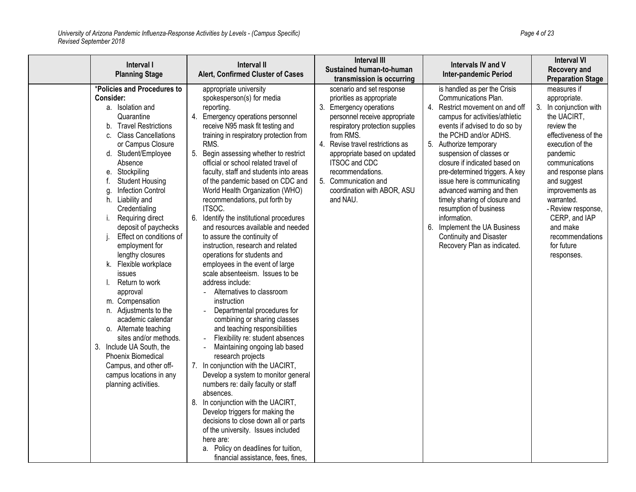| Interval I<br><b>Planning Stage</b>                                                                                                                                                                                                                                                                                                                                                                                                                                                                                                                                                                                                                                                                                                                                          | Interval II<br>Alert, Confirmed Cluster of Cases                                                                                                                                                                                                                                                                                                                                                                                                                                                                                                                                                                                                                                                                                                                                                                                                                                                                                                                                                                                                                                                                                                                                                                                                                                                                                                       | <b>Interval III</b><br>Sustained human-to-human<br>transmission is occurring                                                                                                                                                                                                                                                                          | <b>Intervals IV and V</b><br><b>Inter-pandemic Period</b>                                                                                                                                                                                                                                                                                                                                                                                                                                                                                            | <b>Interval VI</b><br>Recovery and<br><b>Preparation Stage</b>                                                                                                                                                                                                                                                                       |
|------------------------------------------------------------------------------------------------------------------------------------------------------------------------------------------------------------------------------------------------------------------------------------------------------------------------------------------------------------------------------------------------------------------------------------------------------------------------------------------------------------------------------------------------------------------------------------------------------------------------------------------------------------------------------------------------------------------------------------------------------------------------------|--------------------------------------------------------------------------------------------------------------------------------------------------------------------------------------------------------------------------------------------------------------------------------------------------------------------------------------------------------------------------------------------------------------------------------------------------------------------------------------------------------------------------------------------------------------------------------------------------------------------------------------------------------------------------------------------------------------------------------------------------------------------------------------------------------------------------------------------------------------------------------------------------------------------------------------------------------------------------------------------------------------------------------------------------------------------------------------------------------------------------------------------------------------------------------------------------------------------------------------------------------------------------------------------------------------------------------------------------------|-------------------------------------------------------------------------------------------------------------------------------------------------------------------------------------------------------------------------------------------------------------------------------------------------------------------------------------------------------|------------------------------------------------------------------------------------------------------------------------------------------------------------------------------------------------------------------------------------------------------------------------------------------------------------------------------------------------------------------------------------------------------------------------------------------------------------------------------------------------------------------------------------------------------|--------------------------------------------------------------------------------------------------------------------------------------------------------------------------------------------------------------------------------------------------------------------------------------------------------------------------------------|
| *Policies and Procedures to<br>Consider:<br>a. Isolation and<br>Quarantine<br><b>Travel Restrictions</b><br>b.<br><b>Class Cancellations</b><br>C.<br>or Campus Closure<br>d. Student/Employee<br>Absence<br>e. Stockpiling<br><b>Student Housing</b><br><b>Infection Control</b><br>g.<br>Liability and<br>h.<br>Credentialing<br>Requiring direct<br>j.<br>deposit of paychecks<br>Effect on conditions of<br>employment for<br>lengthy closures<br>k. Flexible workplace<br>issues<br>Return to work<br>approval<br>m. Compensation<br>n. Adjustments to the<br>academic calendar<br>o. Alternate teaching<br>sites and/or methods.<br>3. Include UA South, the<br><b>Phoenix Biomedical</b><br>Campus, and other off-<br>campus locations in any<br>planning activities. | appropriate university<br>spokesperson(s) for media<br>reporting.<br>4.<br>Emergency operations personnel<br>receive N95 mask fit testing and<br>training in respiratory protection from<br>RMS.<br>5. Begin assessing whether to restrict<br>official or school related travel of<br>faculty, staff and students into areas<br>of the pandemic based on CDC and<br>World Health Organization (WHO)<br>recommendations, put forth by<br>ITSOC.<br>6. Identify the institutional procedures<br>and resources available and needed<br>to assure the continuity of<br>instruction, research and related<br>operations for students and<br>employees in the event of large<br>scale absenteeism. Issues to be<br>address include:<br>- Alternatives to classroom<br>instruction<br>Departmental procedures for<br>combining or sharing classes<br>and teaching responsibilities<br>Flexibility re: student absences<br>Maintaining ongoing lab based<br>research projects<br>7. In conjunction with the UACIRT,<br>Develop a system to monitor general<br>numbers re: daily faculty or staff<br>absences.<br>8. In conjunction with the UACIRT,<br>Develop triggers for making the<br>decisions to close down all or parts<br>of the university. Issues included<br>here are:<br>a. Policy on deadlines for tuition,<br>financial assistance, fees, fines, | scenario and set response<br>priorities as appropriate<br>3. Emergency operations<br>personnel receive appropriate<br>respiratory protection supplies<br>from RMS.<br>4. Revise travel restrictions as<br>appropriate based on updated<br><b>ITSOC and CDC</b><br>recommendations.<br>5. Communication and<br>coordination with ABOR, ASU<br>and NAU. | is handled as per the Crisis<br>Communications Plan.<br>4. Restrict movement on and off<br>campus for activities/athletic<br>events if advised to do so by<br>the PCHD and/or ADHS.<br>5. Authorize temporary<br>suspension of classes or<br>closure if indicated based on<br>pre-determined triggers. A key<br>issue here is communicating<br>advanced warning and then<br>timely sharing of closure and<br>resumption of business<br>information.<br>6. Implement the UA Business<br><b>Continuity and Disaster</b><br>Recovery Plan as indicated. | measures if<br>appropriate.<br>3. In conjunction with<br>the UACIRT,<br>review the<br>effectiveness of the<br>execution of the<br>pandemic<br>communications<br>and response plans<br>and suggest<br>improvements as<br>warranted.<br>- Review response,<br>CERP, and IAP<br>and make<br>recommendations<br>for future<br>responses. |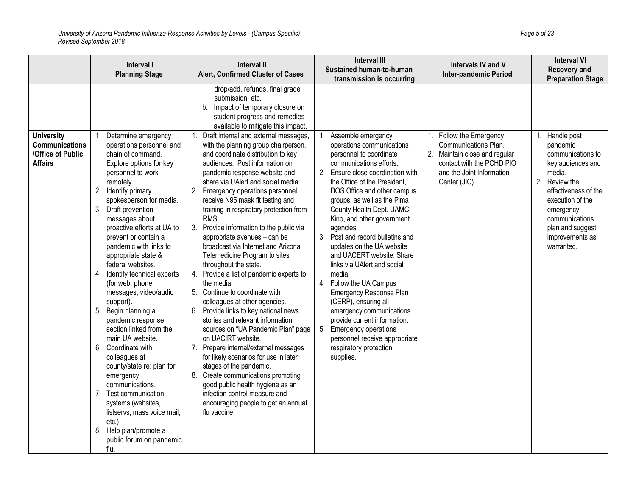|                                                                                   | Interval I<br><b>Planning Stage</b>                                                                                                                                                                                                                                                                                                                                                                                                                                                                                                                                                                                                                                                                                                                                                                       | Interval II<br>Alert, Confirmed Cluster of Cases                                                                                                                                                                                                                                                                                                                                                                                                                                                                                                                                                                                                                                                                                                                                                                                                                                                                                                                                                                                                                                                                                                                                                                                                                                    | <b>Interval III</b><br>Sustained human-to-human<br>transmission is occurring                                                                                                                                                                                                                                                                                                                                                                                                                                                                                                                                                                                                                         | Intervals IV and V<br><b>Inter-pandemic Period</b>                                                                                                       | <b>Interval VI</b><br>Recovery and<br><b>Preparation Stage</b>                                                                                                                                                                     |
|-----------------------------------------------------------------------------------|-----------------------------------------------------------------------------------------------------------------------------------------------------------------------------------------------------------------------------------------------------------------------------------------------------------------------------------------------------------------------------------------------------------------------------------------------------------------------------------------------------------------------------------------------------------------------------------------------------------------------------------------------------------------------------------------------------------------------------------------------------------------------------------------------------------|-------------------------------------------------------------------------------------------------------------------------------------------------------------------------------------------------------------------------------------------------------------------------------------------------------------------------------------------------------------------------------------------------------------------------------------------------------------------------------------------------------------------------------------------------------------------------------------------------------------------------------------------------------------------------------------------------------------------------------------------------------------------------------------------------------------------------------------------------------------------------------------------------------------------------------------------------------------------------------------------------------------------------------------------------------------------------------------------------------------------------------------------------------------------------------------------------------------------------------------------------------------------------------------|------------------------------------------------------------------------------------------------------------------------------------------------------------------------------------------------------------------------------------------------------------------------------------------------------------------------------------------------------------------------------------------------------------------------------------------------------------------------------------------------------------------------------------------------------------------------------------------------------------------------------------------------------------------------------------------------------|----------------------------------------------------------------------------------------------------------------------------------------------------------|------------------------------------------------------------------------------------------------------------------------------------------------------------------------------------------------------------------------------------|
| <b>University</b><br><b>Communications</b><br>/Office of Public<br><b>Affairs</b> | Determine emergency<br>operations personnel and<br>chain of command.<br>Explore options for key<br>personnel to work<br>remotely.<br>2. Identify primary<br>spokesperson for media.<br>3. Draft prevention<br>messages about<br>proactive efforts at UA to<br>prevent or contain a<br>pandemic with links to<br>appropriate state &<br>federal websites.<br>4. Identify technical experts<br>(for web, phone<br>messages, video/audio<br>support).<br>5. Begin planning a<br>pandemic response<br>section linked from the<br>main UA website.<br>6. Coordinate with<br>colleagues at<br>county/state re: plan for<br>emergency<br>communications.<br>7. Test communication<br>systems (websites,<br>listservs, mass voice mail,<br>$etc.$ )<br>8. Help plan/promote a<br>public forum on pandemic<br>flu. | drop/add, refunds, final grade<br>submission, etc.<br>Impact of temporary closure on<br>$b$ .<br>student progress and remedies<br>available to mitigate this impact.<br>Draft internal and external messages,<br>1.<br>with the planning group chairperson,<br>and coordinate distribution to key<br>audiences. Post information on<br>pandemic response website and<br>share via UAlert and social media.<br>2.<br>Emergency operations personnel<br>receive N95 mask fit testing and<br>training in respiratory protection from<br>RMS.<br>3.<br>Provide information to the public via<br>appropriate avenues - can be<br>broadcast via Internet and Arizona<br>Telemedicine Program to sites<br>throughout the state.<br>Provide a list of pandemic experts to<br>4.<br>the media.<br>5. Continue to coordinate with<br>colleagues at other agencies.<br>6.<br>Provide links to key national news<br>stories and relevant information<br>sources on "UA Pandemic Plan" page<br>on UACIRT website.<br>7.<br>Prepare internal/external messages<br>for likely scenarios for use in later<br>stages of the pandemic.<br>Create communications promoting<br>good public health hygiene as an<br>infection control measure and<br>encouraging people to get an annual<br>flu vaccine. | Assemble emergency<br>operations communications<br>personnel to coordinate<br>communications efforts.<br>2. Ensure close coordination with<br>the Office of the President,<br>DOS Office and other campus<br>groups, as well as the Pima<br>County Health Dept. UAMC,<br>Kino, and other government<br>agencies.<br>3. Post and record bulletins and<br>updates on the UA website<br>and UACERT website. Share<br>links via UAlert and social<br>media.<br>4. Follow the UA Campus<br>Emergency Response Plan<br>(CERP), ensuring all<br>emergency communications<br>provide current information.<br>5. Emergency operations<br>personnel receive appropriate<br>respiratory protection<br>supplies. | Follow the Emergency<br>Communications Plan.<br>2. Maintain close and regular<br>contact with the PCHD PIO<br>and the Joint Information<br>Center (JIC). | Handle post<br>1.<br>pandemic<br>communications to<br>key audiences and<br>media.<br>2. Review the<br>effectiveness of the<br>execution of the<br>emergency<br>communications<br>plan and suggest<br>improvements as<br>warranted. |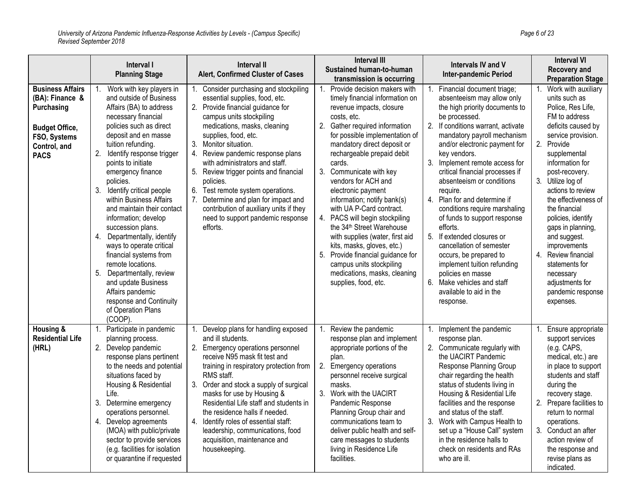|                                                                                                                                  | Interval I<br><b>Planning Stage</b>                                                                                                                                                                                                                                                                                                                                                                                                                                                                                                                                                                                                                                     | <b>Interval II</b><br>Alert, Confirmed Cluster of Cases                                                                                                                                                                                                                                                                                                                                                                                                                                                                                       | <b>Interval III</b><br>Sustained human-to-human<br>transmission is occurring                                                                                                                                                                                                                                                                                                                                                                                                                                                                                                                                                                                        | Intervals IV and V<br><b>Inter-pandemic Period</b>                                                                                                                                                                                                                                                                                                                                                                                                                                                                                                                                                                                                                                  | <b>Interval VI</b><br><b>Recovery and</b><br><b>Preparation Stage</b>                                                                                                                                                                                                                                                                                                                                                                                                                     |
|----------------------------------------------------------------------------------------------------------------------------------|-------------------------------------------------------------------------------------------------------------------------------------------------------------------------------------------------------------------------------------------------------------------------------------------------------------------------------------------------------------------------------------------------------------------------------------------------------------------------------------------------------------------------------------------------------------------------------------------------------------------------------------------------------------------------|-----------------------------------------------------------------------------------------------------------------------------------------------------------------------------------------------------------------------------------------------------------------------------------------------------------------------------------------------------------------------------------------------------------------------------------------------------------------------------------------------------------------------------------------------|---------------------------------------------------------------------------------------------------------------------------------------------------------------------------------------------------------------------------------------------------------------------------------------------------------------------------------------------------------------------------------------------------------------------------------------------------------------------------------------------------------------------------------------------------------------------------------------------------------------------------------------------------------------------|-------------------------------------------------------------------------------------------------------------------------------------------------------------------------------------------------------------------------------------------------------------------------------------------------------------------------------------------------------------------------------------------------------------------------------------------------------------------------------------------------------------------------------------------------------------------------------------------------------------------------------------------------------------------------------------|-------------------------------------------------------------------------------------------------------------------------------------------------------------------------------------------------------------------------------------------------------------------------------------------------------------------------------------------------------------------------------------------------------------------------------------------------------------------------------------------|
| <b>Business Affairs</b><br>(BA): Finance &<br>Purchasing<br><b>Budget Office,</b><br>FSO, Systems<br>Control, and<br><b>PACS</b> | Work with key players in<br>$1_{-}$<br>and outside of Business<br>Affairs (BA) to address<br>necessary financial<br>policies such as direct<br>deposit and en masse<br>tuition refunding.<br>2. Identify response trigger<br>points to initiate<br>emergency finance<br>policies.<br>3. Identify critical people<br>within Business Affairs<br>and maintain their contact<br>information; develop<br>succession plans.<br>4. Departmentally, identify<br>ways to operate critical<br>financial systems from<br>remote locations.<br>5.<br>Departmentally, review<br>and update Business<br>Affairs pandemic<br>response and Continuity<br>of Operation Plans<br>(COOP). | Consider purchasing and stockpiling<br>1.<br>essential supplies, food, etc.<br>2. Provide financial guidance for<br>campus units stockpiling<br>medications, masks, cleaning<br>supplies, food, etc.<br>3.<br>Monitor situation.<br>4.<br>Review pandemic response plans<br>with administrators and staff.<br>5.<br>Review trigger points and financial<br>policies.<br>Test remote system operations.<br>6.<br>Determine and plan for impact and<br>contribution of auxiliary units if they<br>need to support pandemic response<br>efforts. | 1. Provide decision makers with<br>timely financial information on<br>revenue impacts, closure<br>costs, etc.<br>2. Gather required information<br>for possible implementation of<br>mandatory direct deposit or<br>rechargeable prepaid debit<br>cards.<br>3.<br>Communicate with key<br>vendors for ACH and<br>electronic payment<br>information; notify bank(s)<br>with UA P-Card contract.<br>4. PACS will begin stockpiling<br>the 34 <sup>th</sup> Street Warehouse<br>with supplies (water, first aid<br>kits, masks, gloves, etc.)<br>5. Provide financial guidance for<br>campus units stockpiling<br>medications, masks, cleaning<br>supplies, food, etc. | Financial document triage;<br>1.<br>absenteeism may allow only<br>the high priority documents to<br>be processed.<br>2. If conditions warrant, activate<br>mandatory payroll mechanism<br>and/or electronic payment for<br>key vendors.<br>3. Implement remote access for<br>critical financial processes if<br>absenteeism or conditions<br>require.<br>4. Plan for and determine if<br>conditions require marshaling<br>of funds to support response<br>efforts.<br>5. If extended closures or<br>cancellation of semester<br>occurs, be prepared to<br>implement tuition refunding<br>policies en masse<br>6.<br>Make vehicles and staff<br>available to aid in the<br>response. | Work with auxiliary<br>1.<br>units such as<br>Police, Res Life,<br>FM to address<br>deficits caused by<br>service provision.<br>2. Provide<br>supplemental<br>information for<br>post-recovery.<br>3. Utilize log of<br>actions to review<br>the effectiveness of<br>the financial<br>policies, identify<br>gaps in planning,<br>and suggest.<br>improvements<br>Review financial<br>$\overline{4}$ .<br>statements for<br>necessary<br>adjustments for<br>pandemic response<br>expenses. |
| Housing &<br><b>Residential Life</b><br>(HRL)                                                                                    | Participate in pandemic<br>1.<br>planning process.<br>2. Develop pandemic<br>response plans pertinent<br>to the needs and potential<br>situations faced by<br>Housing & Residential<br>Life.<br>3. Determine emergency<br>operations personnel.<br>4. Develop agreements<br>(MOA) with public/private<br>sector to provide services<br>(e.g. facilities for isolation<br>or quarantine if requested                                                                                                                                                                                                                                                                     | Develop plans for handling exposed<br>1.<br>and ill students.<br>2.<br>Emergency operations personnel<br>receive N95 mask fit test and<br>training in respiratory protection from<br>RMS staff.<br>3.<br>Order and stock a supply of surgical<br>masks for use by Housing &<br>Residential Life staff and students in<br>the residence halls if needed.<br>4.<br>Identify roles of essential staff:<br>leadership, communications, food<br>acquisition, maintenance and<br>housekeeping.                                                      | 1. Review the pandemic<br>response plan and implement<br>appropriate portions of the<br>plan.<br>2. Emergency operations<br>personnel receive surgical<br>masks.<br>3. Work with the UACIRT<br>Pandemic Response<br>Planning Group chair and<br>communications team to<br>deliver public health and self-<br>care messages to students<br>living in Residence Life<br>facilities.                                                                                                                                                                                                                                                                                   | 1. Implement the pandemic<br>response plan.<br>2. Communicate regularly with<br>the UACIRT Pandemic<br>Response Planning Group<br>chair regarding the health<br>status of students living in<br>Housing & Residential Life<br>facilities and the response<br>and status of the staff.<br>3. Work with Campus Health to<br>set up a "House Call" system<br>in the residence halls to<br>check on residents and RAs<br>who are ill.                                                                                                                                                                                                                                                   | Ensure appropriate<br>support services<br>(e.g. CAPS,<br>medical, etc.) are<br>in place to support<br>students and staff<br>during the<br>recovery stage.<br>2. Prepare facilities to<br>return to normal<br>operations.<br>3. Conduct an after<br>action review of<br>the response and<br>revise plans as<br>indicated.                                                                                                                                                                  |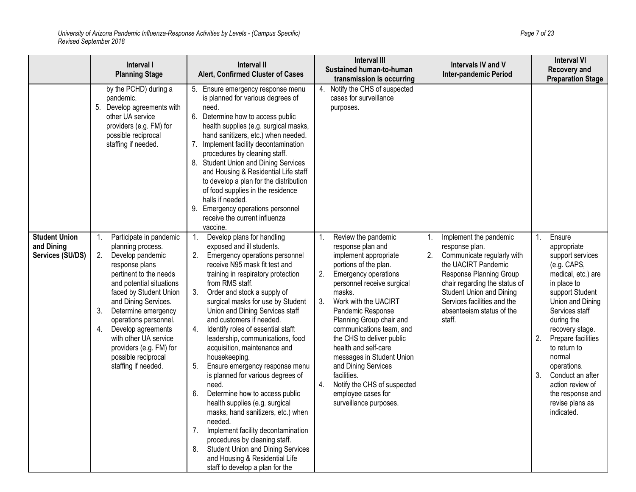|                                                        | Interval I<br><b>Planning Stage</b>                                                                                                                                                                                                                                                                                                                                                        | <b>Interval II</b><br>Alert, Confirmed Cluster of Cases                                                                                                                                                                                                                                                                                                                                                                                                                                                                                                                                                                                                                                                                                                                                                                                                                                        | <b>Interval III</b><br>Sustained human-to-human<br>transmission is occurring                                                                                                                                                                                                                                                                                                                                                                                                                          | Intervals IV and V<br>Inter-pandemic Period                                                                                                                                                                                                                                    | <b>Interval VI</b><br>Recovery and<br><b>Preparation Stage</b>                                                                                                                                                                                                                                                                                                        |
|--------------------------------------------------------|--------------------------------------------------------------------------------------------------------------------------------------------------------------------------------------------------------------------------------------------------------------------------------------------------------------------------------------------------------------------------------------------|------------------------------------------------------------------------------------------------------------------------------------------------------------------------------------------------------------------------------------------------------------------------------------------------------------------------------------------------------------------------------------------------------------------------------------------------------------------------------------------------------------------------------------------------------------------------------------------------------------------------------------------------------------------------------------------------------------------------------------------------------------------------------------------------------------------------------------------------------------------------------------------------|-------------------------------------------------------------------------------------------------------------------------------------------------------------------------------------------------------------------------------------------------------------------------------------------------------------------------------------------------------------------------------------------------------------------------------------------------------------------------------------------------------|--------------------------------------------------------------------------------------------------------------------------------------------------------------------------------------------------------------------------------------------------------------------------------|-----------------------------------------------------------------------------------------------------------------------------------------------------------------------------------------------------------------------------------------------------------------------------------------------------------------------------------------------------------------------|
|                                                        | by the PCHD) during a<br>pandemic.<br>5. Develop agreements with<br>other UA service<br>providers (e.g. FM) for<br>possible reciprocal<br>staffing if needed.                                                                                                                                                                                                                              | 5. Ensure emergency response menu<br>is planned for various degrees of<br>need.<br>6.<br>Determine how to access public<br>health supplies (e.g. surgical masks,<br>hand sanitizers, etc.) when needed.<br>Implement facility decontamination<br>7.<br>procedures by cleaning staff.<br><b>Student Union and Dining Services</b><br>8.<br>and Housing & Residential Life staff<br>to develop a plan for the distribution<br>of food supplies in the residence<br>halls if needed.<br>9. Emergency operations personnel<br>receive the current influenza<br>vaccine.                                                                                                                                                                                                                                                                                                                            | 4. Notify the CHS of suspected<br>cases for surveillance<br>purposes.                                                                                                                                                                                                                                                                                                                                                                                                                                 |                                                                                                                                                                                                                                                                                |                                                                                                                                                                                                                                                                                                                                                                       |
| <b>Student Union</b><br>and Dining<br>Services (SU/DS) | Participate in pandemic<br>1.<br>planning process.<br>2.<br>Develop pandemic<br>response plans<br>pertinent to the needs<br>and potential situations<br>faced by Student Union<br>and Dining Services.<br>3.<br>Determine emergency<br>operations personnel.<br>Develop agreements<br>4.<br>with other UA service<br>providers (e.g. FM) for<br>possible reciprocal<br>staffing if needed. | 1.<br>Develop plans for handling<br>exposed and ill students.<br>2.<br>Emergency operations personnel<br>receive N95 mask fit test and<br>training in respiratory protection<br>from RMS staff.<br>3.<br>Order and stock a supply of<br>surgical masks for use by Student<br>Union and Dining Services staff<br>and customers if needed.<br>Identify roles of essential staff:<br>4.<br>leadership, communications, food<br>acquisition, maintenance and<br>housekeeping.<br>5.<br>Ensure emergency response menu<br>is planned for various degrees of<br>need.<br>6.<br>Determine how to access public<br>health supplies (e.g. surgical<br>masks, hand sanitizers, etc.) when<br>needed.<br>7.<br>Implement facility decontamination<br>procedures by cleaning staff.<br><b>Student Union and Dining Services</b><br>8.<br>and Housing & Residential Life<br>staff to develop a plan for the | Review the pandemic<br>1.<br>response plan and<br>implement appropriate<br>portions of the plan.<br>2.<br><b>Emergency operations</b><br>personnel receive surgical<br>masks.<br>Work with the UACIRT<br>3.<br>Pandemic Response<br>Planning Group chair and<br>communications team, and<br>the CHS to deliver public<br>health and self-care<br>messages in Student Union<br>and Dining Services<br>facilities.<br>Notify the CHS of suspected<br>4.<br>employee cases for<br>surveillance purposes. | Implement the pandemic<br>1.<br>response plan.<br>2.<br>Communicate regularly with<br>the UACIRT Pandemic<br>Response Planning Group<br>chair regarding the status of<br><b>Student Union and Dining</b><br>Services facilities and the<br>absenteeism status of the<br>staff. | Ensure<br>1.<br>appropriate<br>support services<br>(e.g. CAPS,<br>medical, etc.) are<br>in place to<br>support Student<br>Union and Dining<br>Services staff<br>during the<br>recovery stage.<br>2.<br>Prepare facilities<br>to return to<br>normal<br>operations.<br>3.<br>Conduct an after<br>action review of<br>the response and<br>revise plans as<br>indicated. |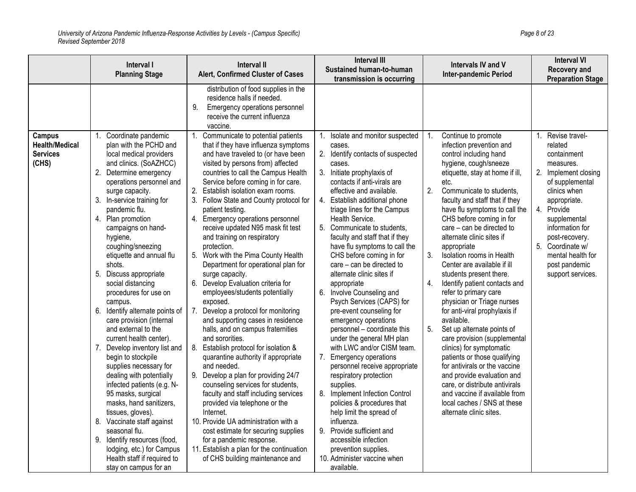|                                                   | Interval I<br><b>Planning Stage</b>                                                                                                                                                                                                                                                                                                                                                                                                                                                                                                                                                                                                                                                                                                                                                                                                                                                                            | <b>Interval II</b><br>Alert, Confirmed Cluster of Cases                                                                                                                                                                                                                                                                                                                                                                                                                                                                                                                                                                                                                                                                                                                                                                                                                                                                                                                                                                                                                                                                                                                                                                               | <b>Interval III</b><br><b>Sustained human-to-human</b><br>transmission is occurring                                                                                                                                                                                                                                                                                                                                                                                                                                                                                                                                                                                                                                                                                                                                                                                                                                                                                                     | <b>Intervals IV and V</b><br><b>Inter-pandemic Period</b>                                                                                                                                                                                                                                                                                                                                                                                                                                                                                                                                                                                                                                                                                                                                                                                                                                              | <b>Interval VI</b><br>Recovery and<br><b>Preparation Stage</b>                                                                                                                                                                                                   |
|---------------------------------------------------|----------------------------------------------------------------------------------------------------------------------------------------------------------------------------------------------------------------------------------------------------------------------------------------------------------------------------------------------------------------------------------------------------------------------------------------------------------------------------------------------------------------------------------------------------------------------------------------------------------------------------------------------------------------------------------------------------------------------------------------------------------------------------------------------------------------------------------------------------------------------------------------------------------------|---------------------------------------------------------------------------------------------------------------------------------------------------------------------------------------------------------------------------------------------------------------------------------------------------------------------------------------------------------------------------------------------------------------------------------------------------------------------------------------------------------------------------------------------------------------------------------------------------------------------------------------------------------------------------------------------------------------------------------------------------------------------------------------------------------------------------------------------------------------------------------------------------------------------------------------------------------------------------------------------------------------------------------------------------------------------------------------------------------------------------------------------------------------------------------------------------------------------------------------|-----------------------------------------------------------------------------------------------------------------------------------------------------------------------------------------------------------------------------------------------------------------------------------------------------------------------------------------------------------------------------------------------------------------------------------------------------------------------------------------------------------------------------------------------------------------------------------------------------------------------------------------------------------------------------------------------------------------------------------------------------------------------------------------------------------------------------------------------------------------------------------------------------------------------------------------------------------------------------------------|--------------------------------------------------------------------------------------------------------------------------------------------------------------------------------------------------------------------------------------------------------------------------------------------------------------------------------------------------------------------------------------------------------------------------------------------------------------------------------------------------------------------------------------------------------------------------------------------------------------------------------------------------------------------------------------------------------------------------------------------------------------------------------------------------------------------------------------------------------------------------------------------------------|------------------------------------------------------------------------------------------------------------------------------------------------------------------------------------------------------------------------------------------------------------------|
| Campus                                            | 1. Coordinate pandemic                                                                                                                                                                                                                                                                                                                                                                                                                                                                                                                                                                                                                                                                                                                                                                                                                                                                                         | distribution of food supplies in the<br>residence halls if needed.<br>9.<br>Emergency operations personnel<br>receive the current influenza<br>vaccine.<br>Communicate to potential patients<br>1.                                                                                                                                                                                                                                                                                                                                                                                                                                                                                                                                                                                                                                                                                                                                                                                                                                                                                                                                                                                                                                    | Isolate and monitor suspected<br>1.                                                                                                                                                                                                                                                                                                                                                                                                                                                                                                                                                                                                                                                                                                                                                                                                                                                                                                                                                     | Continue to promote<br>1.                                                                                                                                                                                                                                                                                                                                                                                                                                                                                                                                                                                                                                                                                                                                                                                                                                                                              | 1. Revise travel-                                                                                                                                                                                                                                                |
| <b>Health/Medical</b><br><b>Services</b><br>(CHS) | plan with the PCHD and<br>local medical providers<br>and clinics. (SoAZHCC)<br>2. Determine emergency<br>operations personnel and<br>surge capacity.<br>3. In-service training for<br>pandemic flu.<br>4. Plan promotion<br>campaigns on hand-<br>hygiene,<br>coughing/sneezing<br>etiquette and annual flu<br>shots.<br>5. Discuss appropriate<br>social distancing<br>procedures for use on<br>campus.<br>6. Identify alternate points of<br>care provision (internal<br>and external to the<br>current health center).<br>7. Develop inventory list and<br>begin to stockpile<br>supplies necessary for<br>dealing with potentially<br>infected patients (e.g. N-<br>95 masks, surgical<br>masks, hand sanitizers,<br>tissues, gloves).<br>8. Vaccinate staff against<br>seasonal flu.<br>9. Identify resources (food,<br>lodging, etc.) for Campus<br>Health staff if required to<br>stay on campus for an | that if they have influenza symptoms<br>and have traveled to (or have been<br>visited by persons from) affected<br>countries to call the Campus Health<br>Service before coming in for care.<br>2.<br>Establish isolation exam rooms.<br>Follow State and County protocol for<br>3.<br>patient testing.<br>Emergency operations personnel<br>4.<br>receive updated N95 mask fit test<br>and training on respiratory<br>protection.<br>Work with the Pima County Health<br>5.<br>Department for operational plan for<br>surge capacity.<br>6.<br>Develop Evaluation criteria for<br>employees/students potentially<br>exposed.<br>Develop a protocol for monitoring<br>7.<br>and supporting cases in residence<br>halls, and on campus fraternities<br>and sororities.<br>8. Establish protocol for isolation &<br>quarantine authority if appropriate<br>and needed.<br>Develop a plan for providing 24/7<br>9.<br>counseling services for students,<br>faculty and staff including services<br>provided via telephone or the<br>Internet.<br>10. Provide UA administration with a<br>cost estimate for securing supplies<br>for a pandemic response.<br>11. Establish a plan for the continuation<br>of CHS building maintenance and | cases.<br>2. Identify contacts of suspected<br>cases.<br>3. Initiate prophylaxis of<br>contacts if anti-virals are<br>effective and available.<br>4. Establish additional phone<br>triage lines for the Campus<br>Health Service.<br>5. Communicate to students,<br>faculty and staff that if they<br>have flu symptoms to call the<br>CHS before coming in for<br>care - can be directed to<br>alternate clinic sites if<br>appropriate<br>6. Involve Counseling and<br>Psych Services (CAPS) for<br>pre-event counseling for<br>emergency operations<br>personnel - coordinate this<br>under the general MH plan<br>with LWC and/or CISM team.<br>7. Emergency operations<br>personnel receive appropriate<br>respiratory protection<br>supplies.<br>8. Implement Infection Control<br>policies & procedures that<br>help limit the spread of<br>influenza.<br>9. Provide sufficient and<br>accessible infection<br>prevention supplies.<br>10. Administer vaccine when<br>available. | infection prevention and<br>control including hand<br>hygiene, cough/sneeze<br>etiquette, stay at home if ill,<br>etc.<br>2.<br>Communicate to students.<br>faculty and staff that if they<br>have flu symptoms to call the<br>CHS before coming in for<br>care - can be directed to<br>alternate clinic sites if<br>appropriate<br>3.<br>Isolation rooms in Health<br>Center are available if ill<br>students present there.<br>4.<br>Identify patient contacts and<br>refer to primary care<br>physician or Triage nurses<br>for anti-viral prophylaxis if<br>available.<br>5.<br>Set up alternate points of<br>care provision (supplemental<br>clinics) for symptomatic<br>patients or those qualifying<br>for antivirals or the vaccine<br>and provide evaluation and<br>care, or distribute antivirals<br>and vaccine if available from<br>local caches / SNS at these<br>alternate clinic sites. | related<br>containment<br>measures.<br>2. Implement closing<br>of supplemental<br>clinics when<br>appropriate.<br>4. Provide<br>supplemental<br>information for<br>post-recovery.<br>5. Coordinate w/<br>mental health for<br>post pandemic<br>support services. |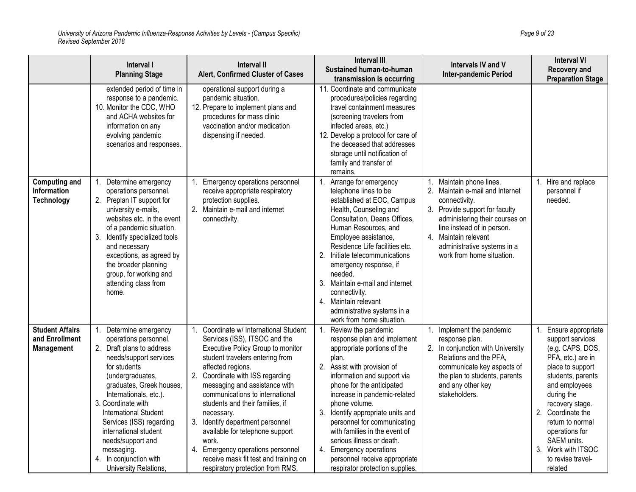|                                                                 | Interval I<br><b>Planning Stage</b>                                                                                                                                                                                                                                                                                                                                                        | <b>Interval II</b><br>Alert, Confirmed Cluster of Cases                                                                                                                                                                                                                                                                                                                                                                                                                                                                                  | <b>Interval III</b><br>Sustained human-to-human<br>transmission is occurring                                                                                                                                                                                                                                                                                                                                                                                            | Intervals IV and V<br><b>Inter-pandemic Period</b>                                                                                                                                                                                                              | <b>Interval VI</b><br>Recovery and<br><b>Preparation Stage</b>                                                                                                                                                                                                                                             |
|-----------------------------------------------------------------|--------------------------------------------------------------------------------------------------------------------------------------------------------------------------------------------------------------------------------------------------------------------------------------------------------------------------------------------------------------------------------------------|------------------------------------------------------------------------------------------------------------------------------------------------------------------------------------------------------------------------------------------------------------------------------------------------------------------------------------------------------------------------------------------------------------------------------------------------------------------------------------------------------------------------------------------|-------------------------------------------------------------------------------------------------------------------------------------------------------------------------------------------------------------------------------------------------------------------------------------------------------------------------------------------------------------------------------------------------------------------------------------------------------------------------|-----------------------------------------------------------------------------------------------------------------------------------------------------------------------------------------------------------------------------------------------------------------|------------------------------------------------------------------------------------------------------------------------------------------------------------------------------------------------------------------------------------------------------------------------------------------------------------|
|                                                                 | extended period of time in<br>response to a pandemic.<br>10. Monitor the CDC, WHO<br>and ACHA websites for<br>information on any<br>evolving pandemic<br>scenarios and responses.                                                                                                                                                                                                          | operational support during a<br>pandemic situation.<br>12. Prepare to implement plans and<br>procedures for mass clinic<br>vaccination and/or medication<br>dispensing if needed.                                                                                                                                                                                                                                                                                                                                                        | 11. Coordinate and communicate<br>procedures/policies regarding<br>travel containment measures<br>(screening travelers from<br>infected areas, etc.)<br>12. Develop a protocol for care of<br>the deceased that addresses<br>storage until notification of<br>family and transfer of<br>remains.                                                                                                                                                                        |                                                                                                                                                                                                                                                                 |                                                                                                                                                                                                                                                                                                            |
| <b>Computing and</b><br><b>Information</b><br><b>Technology</b> | Determine emergency<br>1.<br>operations personnel.<br>2. Preplan IT support for<br>university e-mails,<br>websites etc. in the event<br>of a pandemic situation.<br>3. Identify specialized tools<br>and necessary<br>exceptions, as agreed by<br>the broader planning<br>group, for working and<br>attending class from<br>home.                                                          | Emergency operations personnel<br>receive appropriate respiratory<br>protection supplies.<br>2. Maintain e-mail and internet<br>connectivity.                                                                                                                                                                                                                                                                                                                                                                                            | Arrange for emergency<br>.1<br>telephone lines to be<br>established at EOC, Campus<br>Health, Counseling and<br>Consultation, Deans Offices,<br>Human Resources, and<br>Employee assistance,<br>Residence Life facilities etc.<br>2. Initiate telecommunications<br>emergency response, if<br>needed.<br>3. Maintain e-mail and internet<br>connectivity.<br>4. Maintain relevant<br>administrative systems in a<br>work from home situation.                           | Maintain phone lines.<br>2. Maintain e-mail and Internet<br>connectivity.<br>3. Provide support for faculty<br>administering their courses on<br>line instead of in person.<br>4. Maintain relevant<br>administrative systems in a<br>work from home situation. | Hire and replace<br>1.<br>personnel if<br>needed.                                                                                                                                                                                                                                                          |
| <b>Student Affairs</b><br>and Enrollment<br><b>Management</b>   | 1. Determine emergency<br>operations personnel.<br>2. Draft plans to address<br>needs/support services<br>for students<br>(undergraduates,<br>graduates, Greek houses,<br>Internationals, etc.).<br>3. Coordinate with<br>International Student<br>Services (ISS) regarding<br>international student<br>needs/support and<br>messaging.<br>4. In conjunction with<br>University Relations, | Coordinate w/ International Student<br>1.<br>Services (ISS), ITSOC and the<br>Executive Policy Group to monitor<br>student travelers entering from<br>affected regions.<br>2. Coordinate with ISS regarding<br>messaging and assistance with<br>communications to international<br>students and their families, if<br>necessary.<br>Identify department personnel<br>3.<br>available for telephone support<br>work.<br>Emergency operations personnel<br>4.<br>receive mask fit test and training on<br>respiratory protection from RMS. | Review the pandemic<br>response plan and implement<br>appropriate portions of the<br>plan.<br>2. Assist with provision of<br>information and support via<br>phone for the anticipated<br>increase in pandemic-related<br>phone volume.<br>3. Identify appropriate units and<br>personnel for communicating<br>with families in the event of<br>serious illness or death.<br>4. Emergency operations<br>personnel receive appropriate<br>respirator protection supplies. | Implement the pandemic<br>response plan.<br>2. In conjunction with University<br>Relations and the PFA,<br>communicate key aspects of<br>the plan to students, parents<br>and any other key<br>stakeholders.                                                    | Ensure appropriate<br>support services<br>(e.g. CAPS, DOS,<br>PFA, etc.) are in<br>place to support<br>students, parents<br>and employees<br>during the<br>recovery stage.<br>2. Coordinate the<br>return to normal<br>operations for<br>SAEM units.<br>3. Work with ITSOC<br>to revise travel-<br>related |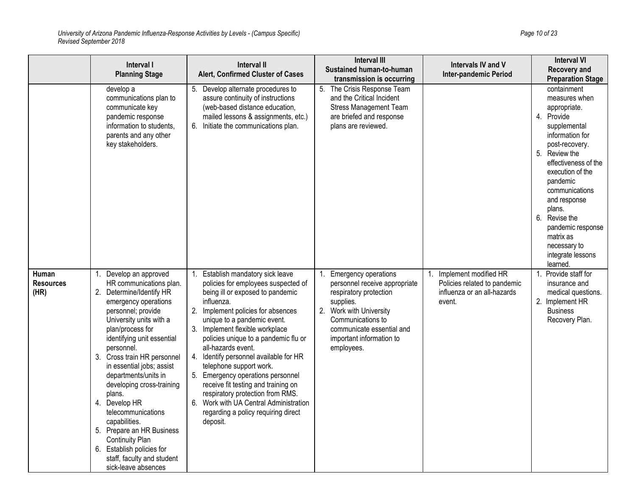|                                   | Interval I<br><b>Planning Stage</b>                                                                                                                                                                                                                                                                                                                                                                                                                                                                                                         | <b>Interval II</b><br>Alert, Confirmed Cluster of Cases                                                                                                                                                                                                                                                                                                                                                                                                                                                                                                                                        | <b>Interval III</b><br><b>Sustained human-to-human</b><br>transmission is occurring                                                                                                                                        | Intervals IV and V<br><b>Inter-pandemic Period</b>                                             | <b>Interval VI</b><br><b>Recovery and</b><br><b>Preparation Stage</b>                                                                                                                                                                                                                                                                          |
|-----------------------------------|---------------------------------------------------------------------------------------------------------------------------------------------------------------------------------------------------------------------------------------------------------------------------------------------------------------------------------------------------------------------------------------------------------------------------------------------------------------------------------------------------------------------------------------------|------------------------------------------------------------------------------------------------------------------------------------------------------------------------------------------------------------------------------------------------------------------------------------------------------------------------------------------------------------------------------------------------------------------------------------------------------------------------------------------------------------------------------------------------------------------------------------------------|----------------------------------------------------------------------------------------------------------------------------------------------------------------------------------------------------------------------------|------------------------------------------------------------------------------------------------|------------------------------------------------------------------------------------------------------------------------------------------------------------------------------------------------------------------------------------------------------------------------------------------------------------------------------------------------|
|                                   | develop a<br>communications plan to<br>communicate key<br>pandemic response<br>information to students,<br>parents and any other<br>key stakeholders.                                                                                                                                                                                                                                                                                                                                                                                       | Develop alternate procedures to<br>5.<br>assure continuity of instructions<br>(web-based distance education,<br>mailed lessons & assignments, etc.)<br>Initiate the communications plan.<br>6.                                                                                                                                                                                                                                                                                                                                                                                                 | 5. The Crisis Response Team<br>and the Critical Incident<br><b>Stress Management Team</b><br>are briefed and response<br>plans are reviewed.                                                                               |                                                                                                | containment<br>measures when<br>appropriate.<br>4.<br>Provide<br>supplemental<br>information for<br>post-recovery.<br>5. Review the<br>effectiveness of the<br>execution of the<br>pandemic<br>communications<br>and response<br>plans.<br>Revise the<br>6.<br>pandemic response<br>matrix as<br>necessary to<br>integrate lessons<br>learned. |
| Human<br><b>Resources</b><br>(HR) | 1. Develop an approved<br>HR communications plan.<br>2. Determine/Identify HR<br>emergency operations<br>personnel; provide<br>University units with a<br>plan/process for<br>identifying unit essential<br>personnel.<br>3. Cross train HR personnel<br>in essential jobs; assist<br>departments/units in<br>developing cross-training<br>plans.<br>4. Develop HR<br>telecommunications<br>capabilities.<br>5. Prepare an HR Business<br>Continuity Plan<br>6. Establish policies for<br>staff, faculty and student<br>sick-leave absences | Establish mandatory sick leave<br>1.<br>policies for employees suspected of<br>being ill or exposed to pandemic<br>influenza.<br>2.<br>Implement policies for absences<br>unique to a pandemic event.<br>3.<br>Implement flexible workplace<br>policies unique to a pandemic flu or<br>all-hazards event.<br>Identify personnel available for HR<br>4.<br>telephone support work.<br>Emergency operations personnel<br>receive fit testing and training on<br>respiratory protection from RMS.<br>Work with UA Central Administration<br>6.<br>regarding a policy requiring direct<br>deposit. | <b>Emergency operations</b><br>personnel receive appropriate<br>respiratory protection<br>supplies.<br>2. Work with University<br>Communications to<br>communicate essential and<br>important information to<br>employees. | Implement modified HR<br>Policies related to pandemic<br>influenza or an all-hazards<br>event. | Provide staff for<br>$\mathbf 1$<br>insurance and<br>medical questions.<br>2. Implement HR<br><b>Business</b><br>Recovery Plan.                                                                                                                                                                                                                |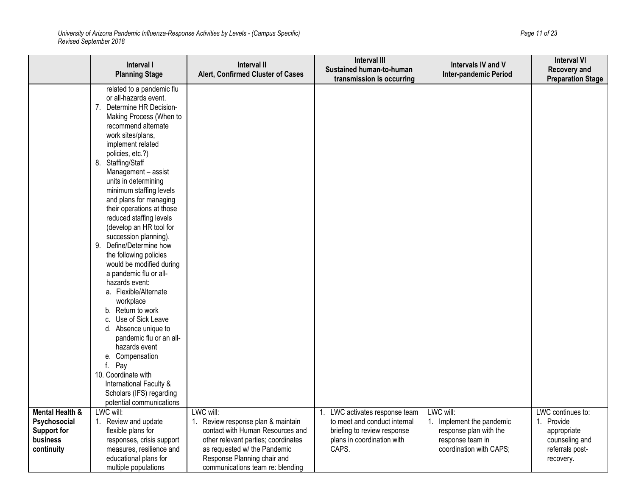*University of Arizona Pandemic Influenza-Response Activities by Levels - (Campus Specific) Page 11 of 23 Revised September 2018*

|                                                                                 | Interval I<br><b>Planning Stage</b>                                                                                                                                                                                                                                                                                                                                                                                                                                                                                                                                                                                                                                                                                                                                                                                                                                   | <b>Interval II</b><br>Alert, Confirmed Cluster of Cases                                                                                                                                                                       | <b>Interval III</b><br>Sustained human-to-human<br>transmission is occurring                                                         | Intervals IV and V<br>Inter-pandemic Period                                                                     | <b>Interval VI</b><br>Recovery and<br><b>Preparation Stage</b>                                   |
|---------------------------------------------------------------------------------|-----------------------------------------------------------------------------------------------------------------------------------------------------------------------------------------------------------------------------------------------------------------------------------------------------------------------------------------------------------------------------------------------------------------------------------------------------------------------------------------------------------------------------------------------------------------------------------------------------------------------------------------------------------------------------------------------------------------------------------------------------------------------------------------------------------------------------------------------------------------------|-------------------------------------------------------------------------------------------------------------------------------------------------------------------------------------------------------------------------------|--------------------------------------------------------------------------------------------------------------------------------------|-----------------------------------------------------------------------------------------------------------------|--------------------------------------------------------------------------------------------------|
|                                                                                 | related to a pandemic flu<br>or all-hazards event.<br>7. Determine HR Decision-<br>Making Process (When to<br>recommend alternate<br>work sites/plans,<br>implement related<br>policies, etc.?)<br>8. Staffing/Staff<br>Management - assist<br>units in determining<br>minimum staffing levels<br>and plans for managing<br>their operations at those<br>reduced staffing levels<br>(develop an HR tool for<br>succession planning).<br>Define/Determine how<br>9.<br>the following policies<br>would be modified during<br>a pandemic flu or all-<br>hazards event:<br>a. Flexible/Alternate<br>workplace<br>b. Return to work<br>Use of Sick Leave<br>C.<br>d. Absence unique to<br>pandemic flu or an all-<br>hazards event<br>e. Compensation<br>f. Pay<br>10. Coordinate with<br>International Faculty &<br>Scholars (IFS) regarding<br>potential communications |                                                                                                                                                                                                                               |                                                                                                                                      |                                                                                                                 |                                                                                                  |
| Mental Health &<br>Psychosocial<br><b>Support for</b><br>business<br>continuity | LWC will:<br>Review and update<br>1.<br>flexible plans for<br>responses, crisis support<br>measures, resilience and<br>educational plans for<br>multiple populations                                                                                                                                                                                                                                                                                                                                                                                                                                                                                                                                                                                                                                                                                                  | LWC will:<br>1. Review response plan & maintain<br>contact with Human Resources and<br>other relevant parties; coordinates<br>as requested w/ the Pandemic<br>Response Planning chair and<br>communications team re: blending | 1. LWC activates response team<br>to meet and conduct internal<br>briefing to review response<br>plans in coordination with<br>CAPS. | LWC will:<br>1. Implement the pandemic<br>response plan with the<br>response team in<br>coordination with CAPS; | LWC continues to:<br>1. Provide<br>appropriate<br>counseling and<br>referrals post-<br>recovery. |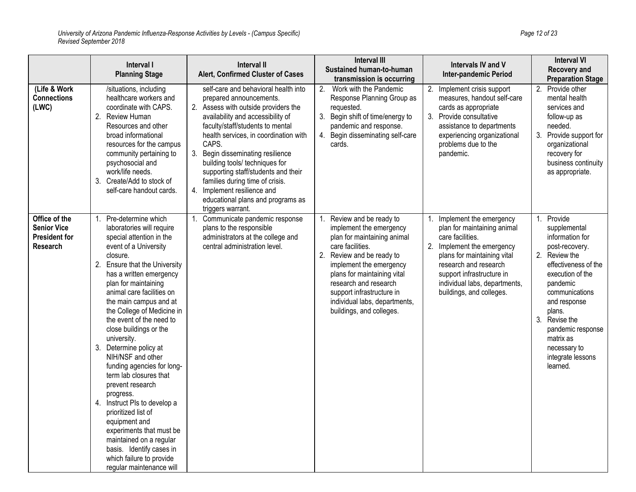|                                                                                | Interval I<br><b>Planning Stage</b>                                                                                                                                                                                                                                                                                                                                                                                                                                                                                                                                                                                                                                                                                           | <b>Interval II</b><br>Alert, Confirmed Cluster of Cases                                                                                                                                                                                                                                                                                                                                                                                                                            | <b>Interval III</b><br>Sustained human-to-human<br>transmission is occurring                                                                                                                                                                                                                                            | Intervals IV and V<br><b>Inter-pandemic Period</b>                                                                                                                                                                                                         | <b>Interval VI</b><br><b>Recovery and</b><br><b>Preparation Stage</b>                                                                                                                                                                                                                       |
|--------------------------------------------------------------------------------|-------------------------------------------------------------------------------------------------------------------------------------------------------------------------------------------------------------------------------------------------------------------------------------------------------------------------------------------------------------------------------------------------------------------------------------------------------------------------------------------------------------------------------------------------------------------------------------------------------------------------------------------------------------------------------------------------------------------------------|------------------------------------------------------------------------------------------------------------------------------------------------------------------------------------------------------------------------------------------------------------------------------------------------------------------------------------------------------------------------------------------------------------------------------------------------------------------------------------|-------------------------------------------------------------------------------------------------------------------------------------------------------------------------------------------------------------------------------------------------------------------------------------------------------------------------|------------------------------------------------------------------------------------------------------------------------------------------------------------------------------------------------------------------------------------------------------------|---------------------------------------------------------------------------------------------------------------------------------------------------------------------------------------------------------------------------------------------------------------------------------------------|
| (Life & Work<br><b>Connections</b><br>(LWC)                                    | /situations, including<br>healthcare workers and<br>coordinate with CAPS.<br>2. Review Human<br>Resources and other<br>broad informational<br>resources for the campus<br>community pertaining to<br>psychosocial and<br>work/life needs.<br>3. Create/Add to stock of<br>self-care handout cards.                                                                                                                                                                                                                                                                                                                                                                                                                            | self-care and behavioral health into<br>prepared announcements.<br>2. Assess with outside providers the<br>availability and accessibility of<br>faculty/staff/students to mental<br>health services, in coordination with<br>CAPS.<br>Begin disseminating resilience<br>3.<br>building tools/ techniques for<br>supporting staff/students and their<br>families during time of crisis.<br>Implement resilience and<br>4.<br>educational plans and programs as<br>triggers warrant. | 2.<br>Work with the Pandemic<br>Response Planning Group as<br>requested.<br>3. Begin shift of time/energy to<br>pandemic and response.<br>4. Begin disseminating self-care<br>cards.                                                                                                                                    | 2.<br>Implement crisis support<br>measures, handout self-care<br>cards as appropriate<br>3. Provide consultative<br>assistance to departments<br>experiencing organizational<br>problems due to the<br>pandemic.                                           | Provide other<br>2.<br>mental health<br>services and<br>follow-up as<br>needed.<br>3.<br>Provide support for<br>organizational<br>recovery for<br>business continuity<br>as appropriate.                                                                                                    |
| Office of the<br><b>Senior Vice</b><br><b>President for</b><br><b>Research</b> | 1. Pre-determine which<br>laboratories will require<br>special attention in the<br>event of a University<br>closure.<br>2. Ensure that the University<br>has a written emergency<br>plan for maintaining<br>animal care facilities on<br>the main campus and at<br>the College of Medicine in<br>the event of the need to<br>close buildings or the<br>university.<br>3. Determine policy at<br>NIH/NSF and other<br>funding agencies for long-<br>term lab closures that<br>prevent research<br>progress.<br>4. Instruct PIs to develop a<br>prioritized list of<br>equipment and<br>experiments that must be<br>maintained on a regular<br>basis. Identify cases in<br>which failure to provide<br>regular maintenance will | Communicate pandemic response<br>1.<br>plans to the responsible<br>administrators at the college and<br>central administration level.                                                                                                                                                                                                                                                                                                                                              | Review and be ready to<br>1.<br>implement the emergency<br>plan for maintaining animal<br>care facilities.<br>2.<br>Review and be ready to<br>implement the emergency<br>plans for maintaining vital<br>research and research<br>support infrastructure in<br>individual labs, departments,<br>buildings, and colleges. | Implement the emergency<br>plan for maintaining animal<br>care facilities.<br>2. Implement the emergency<br>plans for maintaining vital<br>research and research<br>support infrastructure in<br>individual labs, departments,<br>buildings, and colleges. | 1. Provide<br>supplemental<br>information for<br>post-recovery.<br>2.<br>Review the<br>effectiveness of the<br>execution of the<br>pandemic<br>communications<br>and response<br>plans.<br>3. Revise the<br>pandemic response<br>matrix as<br>necessary to<br>integrate lessons<br>learned. |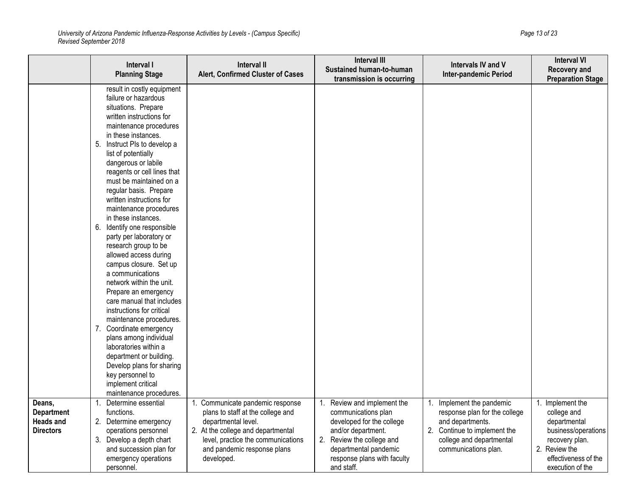*University of Arizona Pandemic Influenza-Response Activities by Levels - (Campus Specific) Page 13 of 23 Revised September 2018*

|                                                                     | Interval I<br><b>Planning Stage</b>                                                                                                                                                                                                                                                                                                                                                                                                                                                                                                                                                                                                                                                                                                                                                                                                                                                                                   | <b>Interval II</b><br>Alert, Confirmed Cluster of Cases                                                                                                                                                               | <b>Interval III</b><br>Sustained human-to-human<br>transmission is occurring                                                                                                                          | <b>Intervals IV and V</b><br><b>Inter-pandemic Period</b>                                                                                                          | <b>Interval VI</b><br><b>Recovery and</b><br><b>Preparation Stage</b>                                                                                 |
|---------------------------------------------------------------------|-----------------------------------------------------------------------------------------------------------------------------------------------------------------------------------------------------------------------------------------------------------------------------------------------------------------------------------------------------------------------------------------------------------------------------------------------------------------------------------------------------------------------------------------------------------------------------------------------------------------------------------------------------------------------------------------------------------------------------------------------------------------------------------------------------------------------------------------------------------------------------------------------------------------------|-----------------------------------------------------------------------------------------------------------------------------------------------------------------------------------------------------------------------|-------------------------------------------------------------------------------------------------------------------------------------------------------------------------------------------------------|--------------------------------------------------------------------------------------------------------------------------------------------------------------------|-------------------------------------------------------------------------------------------------------------------------------------------------------|
|                                                                     | result in costly equipment<br>failure or hazardous<br>situations. Prepare<br>written instructions for<br>maintenance procedures<br>in these instances.<br>Instruct PIs to develop a<br>5.<br>list of potentially<br>dangerous or labile<br>reagents or cell lines that<br>must be maintained on a<br>regular basis. Prepare<br>written instructions for<br>maintenance procedures<br>in these instances.<br>6. Identify one responsible<br>party per laboratory or<br>research group to be<br>allowed access during<br>campus closure. Set up<br>a communications<br>network within the unit.<br>Prepare an emergency<br>care manual that includes<br>instructions for critical<br>maintenance procedures.<br>7. Coordinate emergency<br>plans among individual<br>laboratories within a<br>department or building.<br>Develop plans for sharing<br>key personnel to<br>implement critical<br>maintenance procedures. |                                                                                                                                                                                                                       |                                                                                                                                                                                                       |                                                                                                                                                                    |                                                                                                                                                       |
| Deans,<br><b>Department</b><br><b>Heads and</b><br><b>Directors</b> | Determine essential<br>1.<br>functions.<br>2. Determine emergency<br>operations personnel<br>3. Develop a depth chart<br>and succession plan for<br>emergency operations<br>personnel.                                                                                                                                                                                                                                                                                                                                                                                                                                                                                                                                                                                                                                                                                                                                | 1. Communicate pandemic response<br>plans to staff at the college and<br>departmental level.<br>2. At the college and departmental<br>level, practice the communications<br>and pandemic response plans<br>developed. | Review and implement the<br>communications plan<br>developed for the college<br>and/or department.<br>2. Review the college and<br>departmental pandemic<br>response plans with faculty<br>and staff. | 1. Implement the pandemic<br>response plan for the college<br>and departments.<br>2. Continue to implement the<br>college and departmental<br>communications plan. | 1. Implement the<br>college and<br>departmental<br>business/operations<br>recovery plan.<br>2. Review the<br>effectiveness of the<br>execution of the |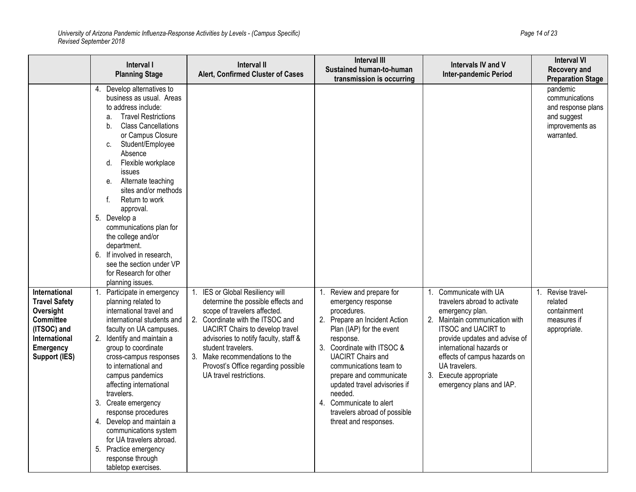|                                                                                                                                                    | Interval I<br><b>Planning Stage</b>                                                                                                                                                                                                                                                                                                                                                                                                                                                                                                     | Interval II<br>Alert, Confirmed Cluster of Cases                                                                                                                                                                                                                                                                                                 | <b>Interval III</b><br>Sustained human-to-human<br>transmission is occurring                                                                                                                                                                                                                                                                                                        | Intervals IV and V<br><b>Inter-pandemic Period</b>                                                                                                                                                                                                                                                            | <b>Interval VI</b><br><b>Recovery and</b><br><b>Preparation Stage</b>                            |
|----------------------------------------------------------------------------------------------------------------------------------------------------|-----------------------------------------------------------------------------------------------------------------------------------------------------------------------------------------------------------------------------------------------------------------------------------------------------------------------------------------------------------------------------------------------------------------------------------------------------------------------------------------------------------------------------------------|--------------------------------------------------------------------------------------------------------------------------------------------------------------------------------------------------------------------------------------------------------------------------------------------------------------------------------------------------|-------------------------------------------------------------------------------------------------------------------------------------------------------------------------------------------------------------------------------------------------------------------------------------------------------------------------------------------------------------------------------------|---------------------------------------------------------------------------------------------------------------------------------------------------------------------------------------------------------------------------------------------------------------------------------------------------------------|--------------------------------------------------------------------------------------------------|
|                                                                                                                                                    | 4. Develop alternatives to<br>business as usual. Areas<br>to address include:<br><b>Travel Restrictions</b><br>a.<br><b>Class Cancellations</b><br>b.<br>or Campus Closure<br>Student/Employee<br>C.<br>Absence<br>Flexible workplace<br>d.<br>issues<br>Alternate teaching<br>е.<br>sites and/or methods<br>f.<br>Return to work<br>approval.<br>5. Develop a<br>communications plan for<br>the college and/or<br>department.<br>6. If involved in research,<br>see the section under VP<br>for Research for other<br>planning issues. |                                                                                                                                                                                                                                                                                                                                                  |                                                                                                                                                                                                                                                                                                                                                                                     |                                                                                                                                                                                                                                                                                                               | pandemic<br>communications<br>and response plans<br>and suggest<br>improvements as<br>warranted. |
| International<br><b>Travel Safety</b><br>Oversight<br><b>Committee</b><br>(ITSOC) and<br>International<br><b>Emergency</b><br><b>Support (IES)</b> | 1. Participate in emergency<br>planning related to<br>international travel and<br>international students and<br>faculty on UA campuses.<br>2.<br>Identify and maintain a<br>group to coordinate<br>cross-campus responses<br>to international and<br>campus pandemics<br>affecting international<br>travelers.<br>3. Create emergency<br>response procedures<br>4. Develop and maintain a<br>communications system<br>for UA travelers abroad.<br>5. Practice emergency<br>response through<br>tabletop exercises.                      | 1. IES or Global Resiliency will<br>determine the possible effects and<br>scope of travelers affected.<br>2. Coordinate with the ITSOC and<br>UACIRT Chairs to develop travel<br>advisories to notify faculty, staff &<br>student travelers.<br>3. Make recommendations to the<br>Provost's Office regarding possible<br>UA travel restrictions. | Review and prepare for<br>emergency response<br>procedures.<br>2. Prepare an Incident Action<br>Plan (IAP) for the event<br>response.<br>3. Coordinate with ITSOC &<br><b>UACIRT Chairs and</b><br>communications team to<br>prepare and communicate<br>updated travel advisories if<br>needed.<br>4. Communicate to alert<br>travelers abroad of possible<br>threat and responses. | 1. Communicate with UA<br>travelers abroad to activate<br>emergency plan.<br>2. Maintain communication with<br><b>ITSOC and UACIRT to</b><br>provide updates and advise of<br>international hazards or<br>effects of campus hazards on<br>UA travelers.<br>3. Execute appropriate<br>emergency plans and IAP. | Revise travel-<br>$1_{-}$<br>related<br>containment<br>measures if<br>appropriate.               |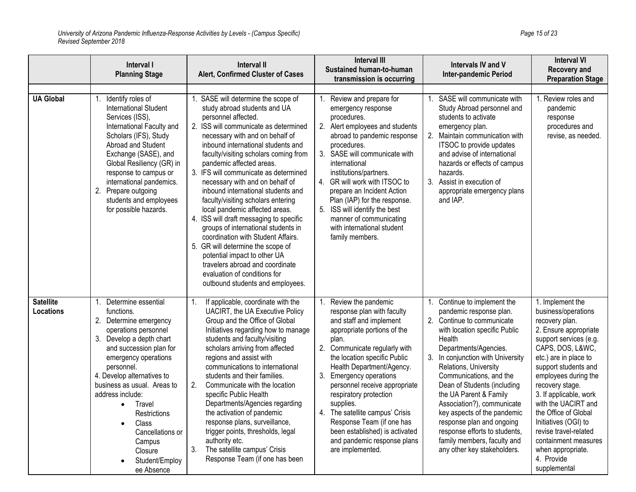|                               | Interval I<br><b>Planning Stage</b>                                                                                                                                                                                                                                                                                                                                                              | Interval II<br>Alert, Confirmed Cluster of Cases                                                                                                                                                                                                                                                                                                                                                                                                                                                                                                                                                                                                                                                                                                                                | <b>Interval III</b><br>Sustained human-to-human<br>transmission is occurring                                                                                                                                                                                                                                                                                                                                                                                                         | Intervals IV and V<br><b>Inter-pandemic Period</b>                                                                                                                                                                                                                                                                                                                                                                                                                                                   | <b>Interval VI</b><br><b>Recovery and</b><br><b>Preparation Stage</b>                                                                                                                                                                                                                                                                                                                                                             |
|-------------------------------|--------------------------------------------------------------------------------------------------------------------------------------------------------------------------------------------------------------------------------------------------------------------------------------------------------------------------------------------------------------------------------------------------|---------------------------------------------------------------------------------------------------------------------------------------------------------------------------------------------------------------------------------------------------------------------------------------------------------------------------------------------------------------------------------------------------------------------------------------------------------------------------------------------------------------------------------------------------------------------------------------------------------------------------------------------------------------------------------------------------------------------------------------------------------------------------------|--------------------------------------------------------------------------------------------------------------------------------------------------------------------------------------------------------------------------------------------------------------------------------------------------------------------------------------------------------------------------------------------------------------------------------------------------------------------------------------|------------------------------------------------------------------------------------------------------------------------------------------------------------------------------------------------------------------------------------------------------------------------------------------------------------------------------------------------------------------------------------------------------------------------------------------------------------------------------------------------------|-----------------------------------------------------------------------------------------------------------------------------------------------------------------------------------------------------------------------------------------------------------------------------------------------------------------------------------------------------------------------------------------------------------------------------------|
| <b>UA Global</b>              | Identify roles of<br><b>International Student</b><br>Services (ISS),<br>International Faculty and<br>Scholars (IFS), Study<br>Abroad and Student<br>Exchange (SASE), and<br>Global Resiliency (GR) in<br>response to campus or<br>international pandemics.<br>2. Prepare outgoing<br>students and employees<br>for possible hazards.                                                             | 1. SASE will determine the scope of<br>study abroad students and UA<br>personnel affected.<br>2. ISS will communicate as determined<br>necessary with and on behalf of<br>inbound international students and<br>faculty/visiting scholars coming from<br>pandemic affected areas.<br>3. IFS will communicate as determined<br>necessary with and on behalf of<br>inbound international students and<br>faculty/visiting scholars entering<br>local pandemic affected areas.<br>4. ISS will draft messaging to specific<br>groups of international students in<br>coordination with Student Affairs.<br>5. GR will determine the scope of<br>potential impact to other UA<br>travelers abroad and coordinate<br>evaluation of conditions for<br>outbound students and employees. | Review and prepare for<br>emergency response<br>procedures.<br>2. Alert employees and students<br>abroad to pandemic response<br>procedures.<br>3. SASE will communicate with<br>international<br>institutions/partners.<br>4. GR will work with ITSOC to<br>prepare an Incident Action<br>Plan (IAP) for the response.<br>5. ISS will identify the best<br>manner of communicating<br>with international student<br>family members.                                                 | SASE will communicate with<br>Study Abroad personnel and<br>students to activate<br>emergency plan.<br>2. Maintain communication with<br>ITSOC to provide updates<br>and advise of international<br>hazards or effects of campus<br>hazards.<br>3. Assist in execution of<br>appropriate emergency plans<br>and IAP.                                                                                                                                                                                 | Review roles and<br>pandemic<br>response<br>procedures and<br>revise, as needed.                                                                                                                                                                                                                                                                                                                                                  |
| <b>Satellite</b><br>Locations | Determine essential<br>1.<br>functions.<br>2. Determine emergency<br>operations personnel<br>3. Develop a depth chart<br>and succession plan for<br>emergency operations<br>personnel.<br>4. Develop alternatives to<br>business as usual. Areas to<br>address include:<br>Travel<br>$\bullet$<br>Restrictions<br>Class<br>Cancellations or<br>Campus<br>Closure<br>Student/Employ<br>ee Absence | If applicable, coordinate with the<br>UACIRT, the UA Executive Policy<br>Group and the Office of Global<br>Initiatives regarding how to manage<br>students and faculty/visiting<br>scholars arriving from affected<br>regions and assist with<br>communications to international<br>students and their families.<br>Communicate with the location<br>2.<br>specific Public Health<br>Departments/Agencies regarding<br>the activation of pandemic<br>response plans, surveillance,<br>trigger points, thresholds, legal<br>authority etc.<br>The satellite campus' Crisis<br>3.<br>Response Team (if one has been                                                                                                                                                               | Review the pandemic<br>response plan with faculty<br>and staff and implement<br>appropriate portions of the<br>plan.<br>2. Communicate regularly with<br>the location specific Public<br>Health Department/Agency.<br>3.<br><b>Emergency operations</b><br>personnel receive appropriate<br>respiratory protection<br>supplies.<br>4. The satellite campus' Crisis<br>Response Team (if one has<br>been established) is activated<br>and pandemic response plans<br>are implemented. | 1. Continue to implement the<br>pandemic response plan.<br>2. Continue to communicate<br>with location specific Public<br>Health<br>Departments/Agencies.<br>3. In conjunction with University<br>Relations, University<br>Communications, and the<br>Dean of Students (including<br>the UA Parent & Family<br>Association?), communicate<br>key aspects of the pandemic<br>response plan and ongoing<br>response efforts to students,<br>family members, faculty and<br>any other key stakeholders. | 1. Implement the<br>business/operations<br>recovery plan.<br>2. Ensure appropriate<br>support services (e.g.<br>CAPS, DOS, L&WC,<br>etc.) are in place to<br>support students and<br>employees during the<br>recovery stage.<br>3. If applicable, work<br>with the UACIRT and<br>the Office of Global<br>Initiatives (OGI) to<br>revise travel-related<br>containment measures<br>when appropriate.<br>4. Provide<br>supplemental |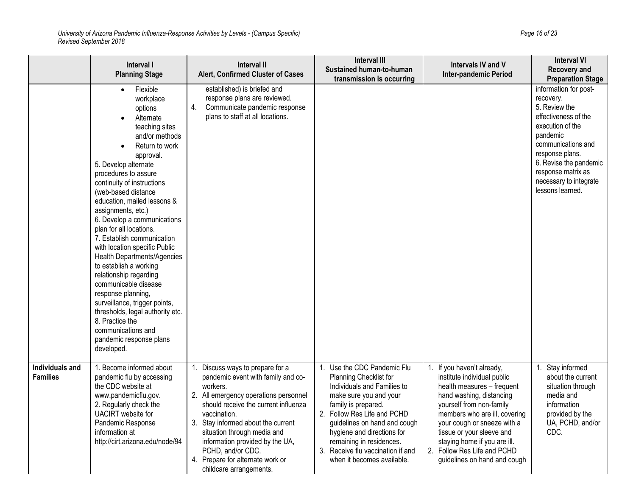*University of Arizona Pandemic Influenza-Response Activities by Levels - (Campus Specific) Page 16 of 23 Revised September 2018*

|                                    | Interval I<br><b>Planning Stage</b>                                                                                                                                                                                                                                                                                                                                                                                                                                                                                                                                                                                                                                                         | Interval II<br>Alert, Confirmed Cluster of Cases                                                                                                                                                                                                                                                                                                                             | <b>Interval III</b><br>Sustained human-to-human<br>transmission is occurring                                                                                                                                                                                                                                                      | Intervals IV and V<br><b>Inter-pandemic Period</b>                                                                                                                                                                                                                                                                                          | <b>Interval VI</b><br>Recovery and<br><b>Preparation Stage</b>                                                                                                                                                                                     |
|------------------------------------|---------------------------------------------------------------------------------------------------------------------------------------------------------------------------------------------------------------------------------------------------------------------------------------------------------------------------------------------------------------------------------------------------------------------------------------------------------------------------------------------------------------------------------------------------------------------------------------------------------------------------------------------------------------------------------------------|------------------------------------------------------------------------------------------------------------------------------------------------------------------------------------------------------------------------------------------------------------------------------------------------------------------------------------------------------------------------------|-----------------------------------------------------------------------------------------------------------------------------------------------------------------------------------------------------------------------------------------------------------------------------------------------------------------------------------|---------------------------------------------------------------------------------------------------------------------------------------------------------------------------------------------------------------------------------------------------------------------------------------------------------------------------------------------|----------------------------------------------------------------------------------------------------------------------------------------------------------------------------------------------------------------------------------------------------|
|                                    | Flexible<br>workplace<br>options<br>Alternate<br>teaching sites<br>and/or methods<br>Return to work<br>approval.<br>5. Develop alternate<br>procedures to assure<br>continuity of instructions<br>(web-based distance<br>education, mailed lessons &<br>assignments, etc.)<br>6. Develop a communications<br>plan for all locations.<br>7. Establish communication<br>with location specific Public<br>Health Departments/Agencies<br>to establish a working<br>relationship regarding<br>communicable disease<br>response planning,<br>surveillance, trigger points,<br>thresholds, legal authority etc.<br>8. Practice the<br>communications and<br>pandemic response plans<br>developed. | established) is briefed and<br>response plans are reviewed.<br>4.<br>Communicate pandemic response<br>plans to staff at all locations.                                                                                                                                                                                                                                       |                                                                                                                                                                                                                                                                                                                                   |                                                                                                                                                                                                                                                                                                                                             | information for post-<br>recovery.<br>5. Review the<br>effectiveness of the<br>execution of the<br>pandemic<br>communications and<br>response plans.<br>6. Revise the pandemic<br>response matrix as<br>necessary to integrate<br>lessons learned. |
| Individuals and<br><b>Families</b> | 1. Become informed about<br>pandemic flu by accessing<br>the CDC website at<br>www.pandemicflu.gov.<br>2. Regularly check the<br>UACIRT website for<br>Pandemic Response<br>information at<br>http://cirt.arizona.edu/node/94                                                                                                                                                                                                                                                                                                                                                                                                                                                               | Discuss ways to prepare for a<br>pandemic event with family and co-<br>workers.<br>2. All emergency operations personnel<br>should receive the current influenza<br>vaccination.<br>3. Stay informed about the current<br>situation through media and<br>information provided by the UA,<br>PCHD, and/or CDC.<br>4. Prepare for alternate work or<br>childcare arrangements. | 1. Use the CDC Pandemic Flu<br>Planning Checklist for<br>Individuals and Families to<br>make sure you and your<br>family is prepared.<br>2. Follow Res Life and PCHD<br>guidelines on hand and cough<br>hygiene and directions for<br>remaining in residences.<br>3. Receive flu vaccination if and<br>when it becomes available. | 1. If you haven't already,<br>institute individual public<br>health measures - frequent<br>hand washing, distancing<br>yourself from non-family<br>members who are ill, covering<br>your cough or sneeze with a<br>tissue or your sleeve and<br>staying home if you are ill.<br>2. Follow Res Life and PCHD<br>guidelines on hand and cough | Stay informed<br>about the current<br>situation through<br>media and<br>information<br>provided by the<br>UA, PCHD, and/or<br>CDC.                                                                                                                 |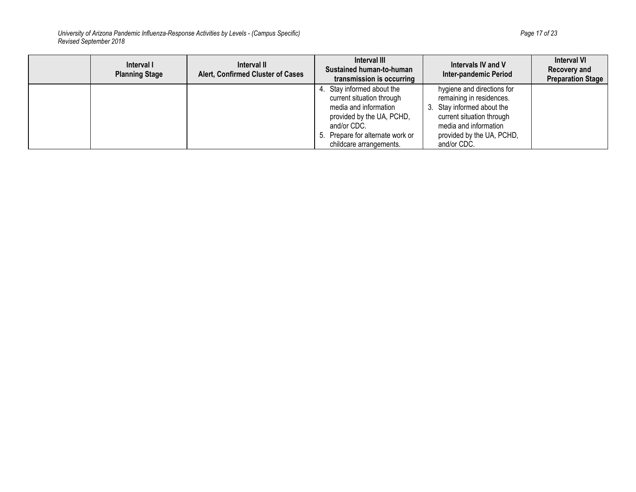*University of Arizona Pandemic Influenza-Response Activities by Levels - (Campus Specific) Page 17 of 23 Revised September 2018*

| Interval I<br><b>Planning Stage</b> | Interval II<br>Alert, Confirmed Cluster of Cases | Interval III<br>Sustained human-to-human<br>transmission is occurring                                                                                                                       | Intervals IV and V<br><b>Inter-pandemic Period</b>                                                                                                                                     | <b>Interval VI</b><br><b>Recovery and</b><br><b>Preparation Stage</b> |
|-------------------------------------|--------------------------------------------------|---------------------------------------------------------------------------------------------------------------------------------------------------------------------------------------------|----------------------------------------------------------------------------------------------------------------------------------------------------------------------------------------|-----------------------------------------------------------------------|
|                                     |                                                  | 4. Stay informed about the<br>current situation through<br>media and information<br>provided by the UA, PCHD,<br>and/or CDC.<br>5. Prepare for alternate work or<br>childcare arrangements. | hygiene and directions for<br>remaining in residences.<br>3. Stay informed about the<br>current situation through<br>media and information<br>provided by the UA, PCHD,<br>and/or CDC. |                                                                       |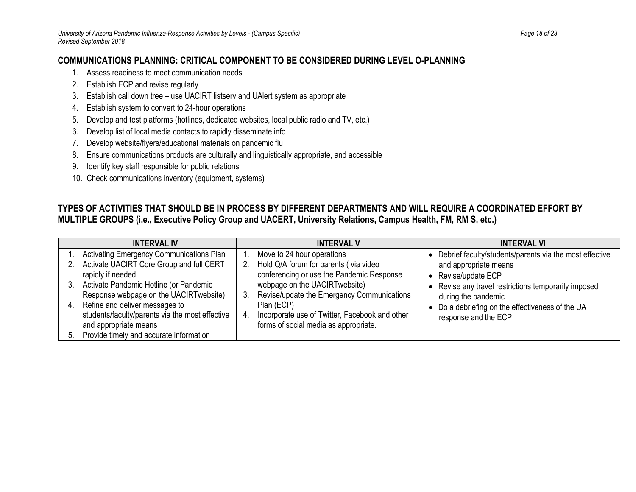### **COMMUNICATIONS PLANNING: CRITICAL COMPONENT TO BE CONSIDERED DURING LEVEL O-PLANNING**

- 1. Assess readiness to meet communication needs
- 2. Establish ECP and revise regularly
- 3. Establish call down tree use UACIRT listserv and UAlert system as appropriate
- 4. Establish system to convert to 24-hour operations
- 5. Develop and test platforms (hotlines, dedicated websites, local public radio and TV, etc.)
- 6. Develop list of local media contacts to rapidly disseminate info
- 7. Develop website/flyers/educational materials on pandemic flu
- 8. Ensure communications products are culturally and linguistically appropriate, and accessible
- 9. Identify key staff responsible for public relations
- 10. Check communications inventory (equipment, systems)

### **TYPES OF ACTIVITIES THAT SHOULD BE IN PROCESS BY DIFFERENT DEPARTMENTS AND WILL REQUIRE A COORDINATED EFFORT BY MULTIPLE GROUPS (i.e., Executive Policy Group and UACERT, University Relations, Campus Health, FM, RM S, etc.)**

| <b>INTERVAL IV</b>                                                                                                                                                                                                                                                                                                                                      | <b>INTERVAL V</b>                                                                                                                                                                                                                                                                                        | <b>INTERVAL VI</b>                                                                                                                                                                                                                                           |
|---------------------------------------------------------------------------------------------------------------------------------------------------------------------------------------------------------------------------------------------------------------------------------------------------------------------------------------------------------|----------------------------------------------------------------------------------------------------------------------------------------------------------------------------------------------------------------------------------------------------------------------------------------------------------|--------------------------------------------------------------------------------------------------------------------------------------------------------------------------------------------------------------------------------------------------------------|
| Activating Emergency Communications Plan<br>Activate UACIRT Core Group and full CERT<br>rapidly if needed<br>Activate Pandemic Hotline (or Pandemic<br>Response webpage on the UACIRT website)<br>Refine and deliver messages to<br>students/faculty/parents via the most effective<br>and appropriate means<br>Provide timely and accurate information | Move to 24 hour operations<br>Hold Q/A forum for parents (via video<br>conferencing or use the Pandemic Response<br>webpage on the UACIRTwebsite)<br>Revise/update the Emergency Communications<br>Plan (ECP)<br>Incorporate use of Twitter, Facebook and other<br>forms of social media as appropriate. | Debrief faculty/students/parents via the most effective<br>and appropriate means<br>Revise/update ECP<br>Revise any travel restrictions temporarily imposed<br>during the pandemic<br>Do a debriefing on the effectiveness of the UA<br>response and the ECP |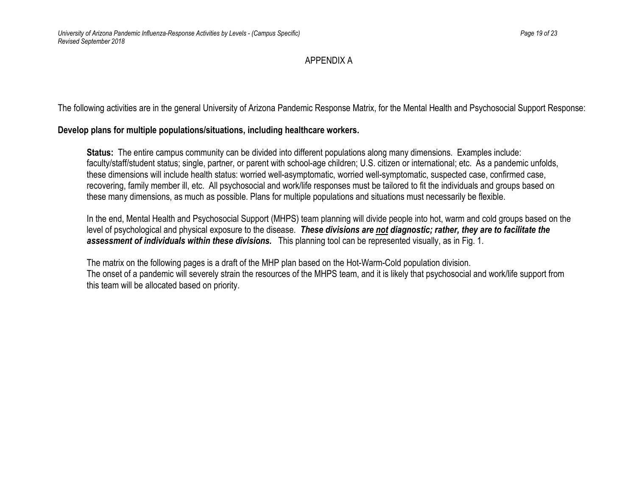#### APPENDIX A

The following activities are in the general University of Arizona Pandemic Response Matrix, for the Mental Health and Psychosocial Support Response:

#### **Develop plans for multiple populations/situations, including healthcare workers.**

**Status:** The entire campus community can be divided into different populations along many dimensions. Examples include: faculty/staff/student status; single, partner, or parent with school-age children; U.S. citizen or international; etc. As a pandemic unfolds, these dimensions will include health status: worried well-asymptomatic, worried well-symptomatic, suspected case, confirmed case, recovering, family member ill, etc. All psychosocial and work/life responses must be tailored to fit the individuals and groups based on these many dimensions, as much as possible. Plans for multiple populations and situations must necessarily be flexible.

In the end, Mental Health and Psychosocial Support (MHPS) team planning will divide people into hot, warm and cold groups based on the level of psychological and physical exposure to the disease. *These divisions are not diagnostic; rather, they are to facilitate the assessment of individuals within these divisions.* This planning tool can be represented visually, as in Fig. 1.

The matrix on the following pages is a draft of the MHP plan based on the Hot-Warm-Cold population division. The onset of a pandemic will severely strain the resources of the MHPS team, and it is likely that psychosocial and work/life support from this team will be allocated based on priority.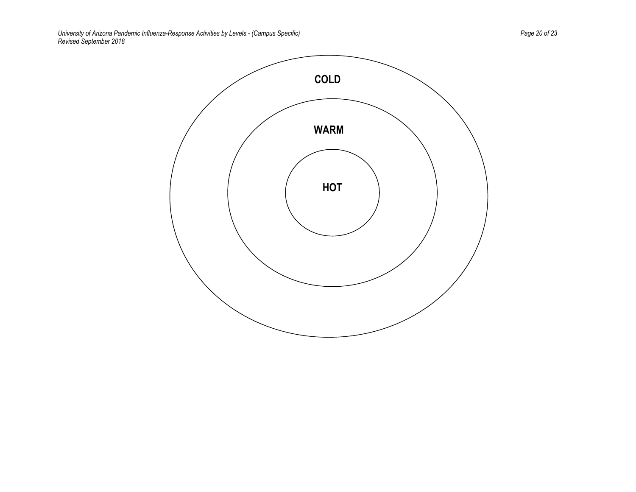*University of Arizona Pandemic Influenza-Response Activities by Levels - (Campus Specific) Page 20 of 23 Revised September 2018*

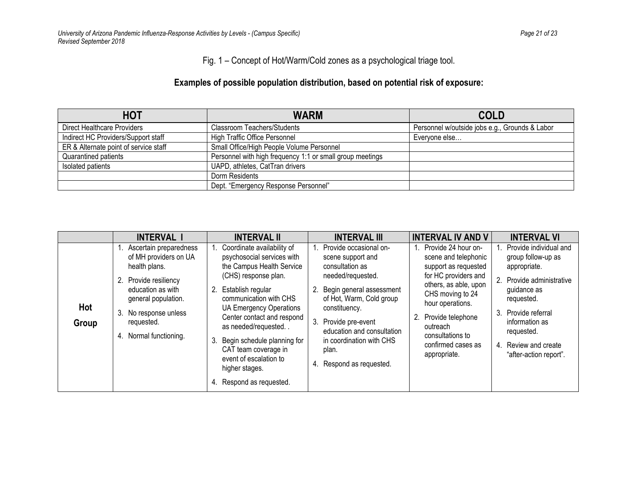Fig. 1 – Concept of Hot/Warm/Cold zones as a psychological triage tool.

## **Examples of possible population distribution, based on potential risk of exposure:**

| <b>HOT</b>                            | <b>WARM</b>                                               | <b>COLD</b>                                    |
|---------------------------------------|-----------------------------------------------------------|------------------------------------------------|
| Direct Healthcare Providers           | Classroom Teachers/Students                               | Personnel w/outside jobs e.g., Grounds & Labor |
| Indirect HC Providers/Support staff   | <b>High Traffic Office Personnel</b>                      | Everyone else                                  |
| ER & Alternate point of service staff | Small Office/High People Volume Personnel                 |                                                |
| Quarantined patients                  | Personnel with high frequency 1:1 or small group meetings |                                                |
| Isolated patients                     | UAPD, athletes, CatTran drivers                           |                                                |
|                                       | Dorm Residents                                            |                                                |
|                                       | Dept. "Emergency Response Personnel"                      |                                                |

|              | <b>INTERVAL I</b>                                                                                                                                                                                         | <b>INTERVAL II</b>                                                                                                                                                                                                                                                                                                                                                                                | <b>INTERVAL III</b>                                                                                                                                                                                                                                                                       | <b>INTERVAL IV AND V</b>                                                                                                                                                                                                                                      | <b>INTERVAL VI</b>                                                                                                                                                                                                                 |
|--------------|-----------------------------------------------------------------------------------------------------------------------------------------------------------------------------------------------------------|---------------------------------------------------------------------------------------------------------------------------------------------------------------------------------------------------------------------------------------------------------------------------------------------------------------------------------------------------------------------------------------------------|-------------------------------------------------------------------------------------------------------------------------------------------------------------------------------------------------------------------------------------------------------------------------------------------|---------------------------------------------------------------------------------------------------------------------------------------------------------------------------------------------------------------------------------------------------------------|------------------------------------------------------------------------------------------------------------------------------------------------------------------------------------------------------------------------------------|
| Hot<br>Group | 1. Ascertain preparedness<br>of MH providers on UA<br>health plans.<br>2. Provide resiliency<br>education as with<br>general population.<br>3. No response unless<br>requested.<br>4. Normal functioning. | Coordinate availability of<br>psychosocial services with<br>the Campus Health Service<br>(CHS) response plan.<br>Establish regular<br>2.<br>communication with CHS<br><b>UA Emergency Operations</b><br>Center contact and respond<br>as needed/requested<br>Begin schedule planning for<br>3.<br>CAT team coverage in<br>event of escalation to<br>higher stages.<br>Respond as requested.<br>4. | 1. Provide occasional on-<br>scene support and<br>consultation as<br>needed/requested.<br>2. Begin general assessment<br>of Hot, Warm, Cold group<br>constituency.<br>3. Provide pre-event<br>education and consultation<br>in coordination with CHS<br>plan.<br>4. Respond as requested. | Provide 24 hour on-<br>scene and telephonic<br>support as requested<br>for HC providers and<br>others, as able, upon<br>CHS moving to 24<br>hour operations.<br>2.<br>Provide telephone<br>outreach<br>consultations to<br>confirmed cases as<br>appropriate. | Provide individual and<br>group follow-up as<br>appropriate.<br>Provide administrative<br>guidance as<br>requested.<br>Provide referral<br>3.<br>information as<br>requested.<br>Review and create<br>4.<br>"after-action report". |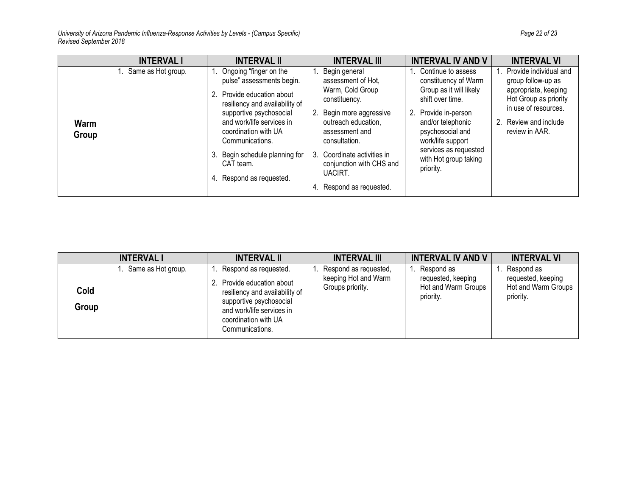*University of Arizona Pandemic Influenza-Response Activities by Levels - (Campus Specific) Page 22 of 23 Revised September 2018*

|               | <b>INTERVAL I</b>     | <b>INTERVAL II</b>                                                                                                                                                                                                                                                                             | <b>INTERVAL III</b>                                                                                                                                                                                                                                                 | <b>INTERVAL IV AND V</b>                                                                                                                                                                                                                          | <b>INTERVAL VI</b>                                                                                                                                                  |
|---------------|-----------------------|------------------------------------------------------------------------------------------------------------------------------------------------------------------------------------------------------------------------------------------------------------------------------------------------|---------------------------------------------------------------------------------------------------------------------------------------------------------------------------------------------------------------------------------------------------------------------|---------------------------------------------------------------------------------------------------------------------------------------------------------------------------------------------------------------------------------------------------|---------------------------------------------------------------------------------------------------------------------------------------------------------------------|
| Warm<br>Group | 1. Same as Hot group. | Ongoing "finger on the<br>pulse" assessments begin.<br>Provide education about<br>resiliency and availability of<br>supportive psychosocial<br>and work/life services in<br>coordination with UA<br>Communications.<br>Begin schedule planning for<br>3.<br>CAT team.<br>Respond as requested. | 1. Begin general<br>assessment of Hot,<br>Warm, Cold Group<br>constituency.<br>2. Begin more aggressive<br>outreach education,<br>assessment and<br>consultation.<br>3. Coordinate activities in<br>conjunction with CHS and<br>UACIRT.<br>4. Respond as requested. | 1. Continue to assess<br>constituency of Warm<br>Group as it will likely<br>shift over time.<br>2. Provide in-person<br>and/or telephonic<br>psychosocial and<br>work/life support<br>services as requested<br>with Hot group taking<br>priority. | Provide individual and<br>group follow-up as<br>appropriate, keeping<br>Hot Group as priority<br>in use of resources.<br>Review and include<br>2.<br>review in AAR. |

|               | <b>INTERVAL I</b>  | <b>INTERVAL II</b>                                                                                                                                                                    | <b>INTERVAL III</b>                                               | <b>INTERVAL IV AND V</b>                                             | <b>INTERVAL VI</b>                                                   |
|---------------|--------------------|---------------------------------------------------------------------------------------------------------------------------------------------------------------------------------------|-------------------------------------------------------------------|----------------------------------------------------------------------|----------------------------------------------------------------------|
| Cold<br>Group | Same as Hot group. | Respond as requested.<br>Provide education about<br>resiliency and availability of<br>supportive psychosocial<br>and work/life services in<br>coordination with UA<br>Communications. | Respond as requested,<br>keeping Hot and Warm<br>Groups priority. | Respond as<br>requested, keeping<br>Hot and Warm Groups<br>priority. | Respond as<br>requested, keeping<br>Hot and Warm Groups<br>priority. |